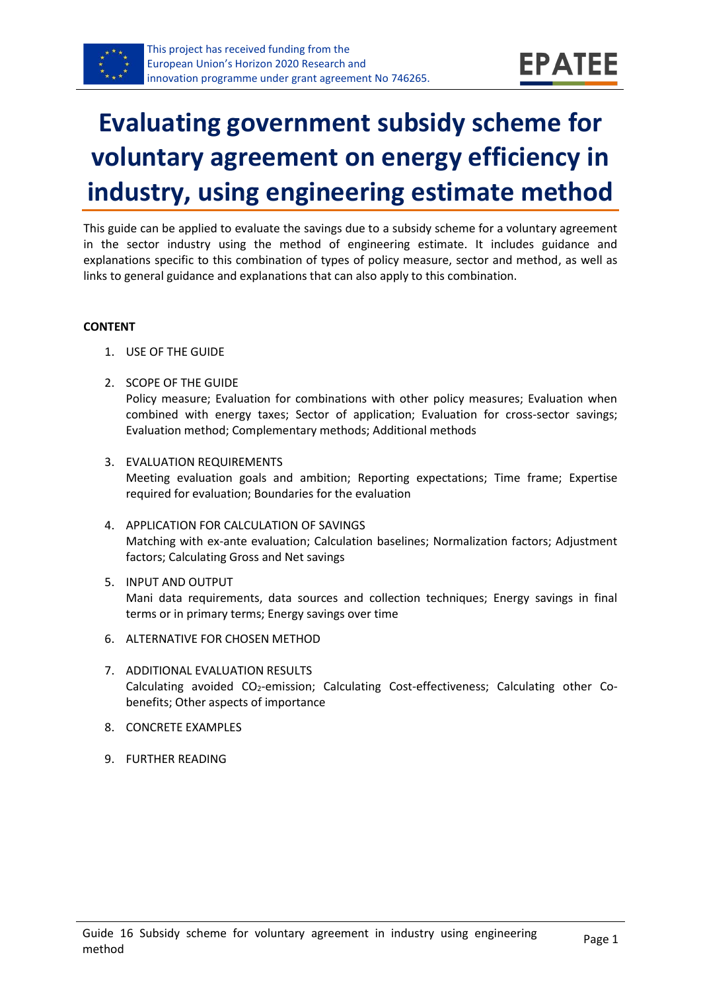

# **Evaluating government subsidy scheme for voluntary agreement on energy efficiency in industry, using engineering estimate method**

This guide can be applied to evaluate the savings due to a subsidy scheme for a voluntary agreement in the sector industry using the method of engineering estimate. It includes guidance and explanations specific to this combination of types of policy measure, sector and method, as well as links to general guidance and explanations that can also apply to this combination.

#### **CONTENT**

- 1. USE OF THE GUIDE
- <span id="page-0-1"></span>2. SCOPE OF THE GUIDE

Policy measure; Evaluation for combinations with other policy measures; Evaluation when combined with energy taxes; Sector of application; Evaluation for cross-sector savings; Evaluation method; Complementary methods; Additional methods

- <span id="page-0-2"></span>3. EVALUATION REQUIREMENTS Meeting evaluation goals and ambition; Reporting expectations; Time frame; Expertise required for evaluation; Boundaries for the evaluation
- <span id="page-0-3"></span>4. APPLICATION FOR CALCULATION OF SAVINGS Matching with ex-ante evaluation; Calculation baselines; Normalization factors; Adjustment factors; Calculating Gross and Net savings
- <span id="page-0-4"></span>5. INPUT AND OUTPUT Mani data requirements, data sources and collection techniques; Energy savings in final terms or in primary terms; Energy savings over time
- <span id="page-0-0"></span>6. ALTERNATIVE FOR CHOSEN METHOD
- <span id="page-0-5"></span>7. ADDITIONAL EVALUATION RESULTS Calculating avoided CO2-emission; Calculating Cost-effectiveness; Calculating other Cobenefits; Other aspects of importance
- <span id="page-0-6"></span>8. CONCRETE EXAMPLES
- <span id="page-0-7"></span>9. FURTHER READING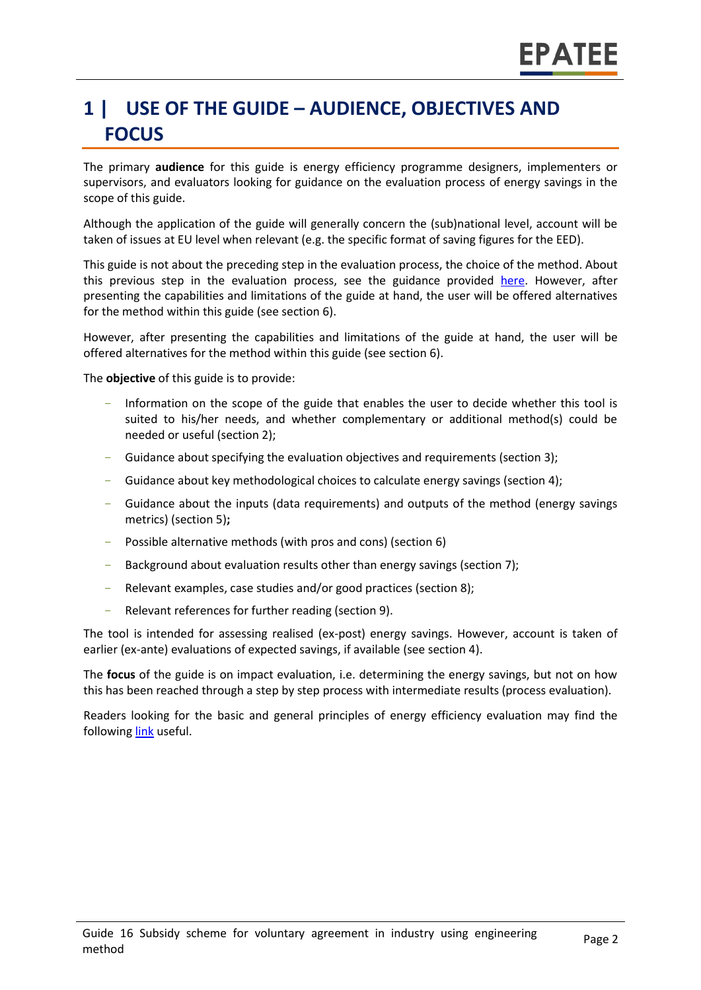# **1 | USE OF THE GUIDE – AUDIENCE, OBJECTIVES AND FOCUS**

The primary **audience** for this guide is energy efficiency programme designers, implementers or supervisors, and evaluators looking for guidance on the evaluation process of energy savings in the scope of this guide.

Although the application of the guide will generally concern the (sub)national level, account will be taken of issues at EU level when relevant (e.g. the specific format of saving figures for the EED).

This guide is not about the preceding step in the evaluation process, the choice of the method. About this previous step in the evaluation process, see the guidance provided [here.](https://www.epatee-toolbox.eu/wp-content/uploads/2019/04/epatee_integrating_evaluation_into_policy_cycle.pdf) However, after presenting the capabilities and limitations of the guide at hand, the user will be offered alternatives for the method within this guide (see section [6\)](#page-0-0).

However, after presenting the capabilities and limitations of the guide at hand, the user will be offered alternatives for the method within this guide (see section [6\)](#page-0-0).

The **objective** of this guide is to provide:

- Information on the scope of the guide that enables the user to decide whether this tool is suited to his/her needs, and whether complementary or additional method(s) could be needed or useful (sectio[n 2\)](#page-0-1);
- Guidance about specifying the evaluation objectives and requirements (section [3\)](#page-0-2);
- Guidance about key methodological choices to calculate energy savings (section [4\)](#page-0-3);
- Guidance about the inputs (data requirements) and outputs of the method (energy savings metrics) (sectio[n 5\)](#page-0-4)**;**
- Possible alternative methods (with pros and cons) (section [6\)](#page-0-0)
- Background about evaluation results other than energy savings (sectio[n 7\)](#page-0-5);
- Relevant examples, case studies and/or good practices (section [8\)](#page-0-6);
- Relevant references for further reading (section [9\)](#page-0-7).

The tool is intended for assessing realised (ex-post) energy savings. However, account is taken of earlier (ex-ante) evaluations of expected savings, if available (see section [4\)](#page-0-3).

The **focus** of the guide is on impact evaluation, i.e. determining the energy savings, but not on how this has been reached through a step by step process with intermediate results (process evaluation).

Readers looking for the basic and general principles of energy efficiency evaluation may find the followin[g link](https://www.epatee-toolbox.eu/evaluation-principles-and-methods/) useful.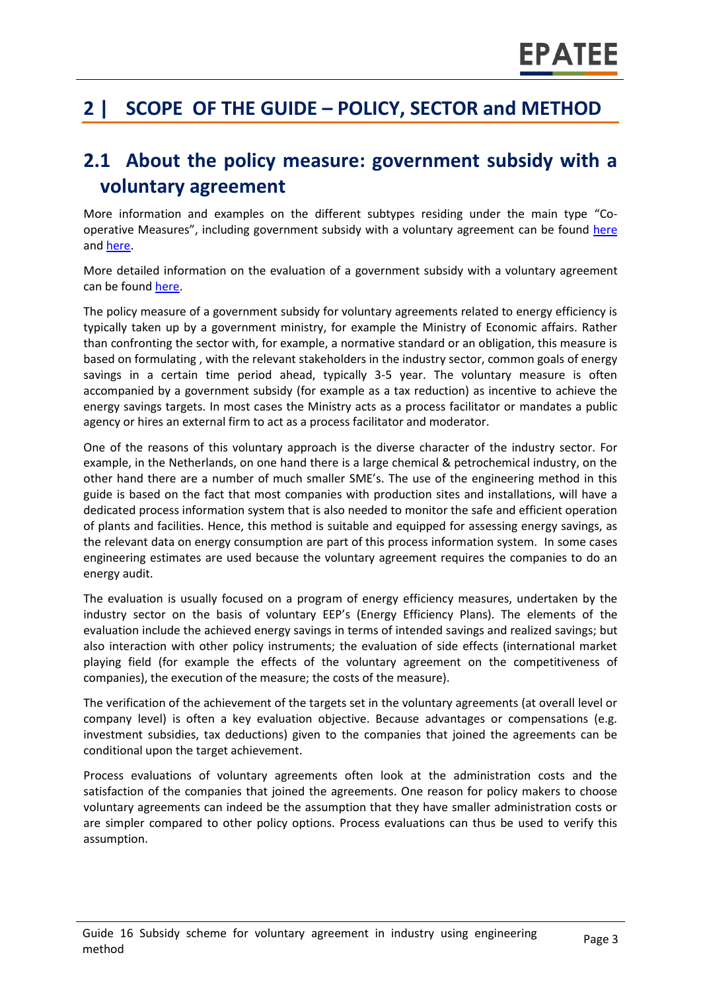# **2 | SCOPE OF THE GUIDE – POLICY, SECTOR and METHOD**

### **2.1 About the policy measure: government subsidy with a voluntary agreement**

More information and examples on the different subtypes residing under the main type "Cooperative Measures", including government subsidy with a voluntary agreement can be found [here](http://www.measures-odyssee-mure.eu/) and [here.](https://www.epatee-lib.eu/)

More detailed information on the evaluation of a government subsidy with a voluntary agreement can be found [here.](https://www.epatee-lib.eu/media/docs/EMEEES_WP2_D1_Assessment_existing_evaluation_2008-04-21.pdf)

The policy measure of a government subsidy for voluntary agreements related to energy efficiency is typically taken up by a government ministry, for example the Ministry of Economic affairs. Rather than confronting the sector with, for example, a normative standard or an obligation, this measure is based on formulating , with the relevant stakeholders in the industry sector, common goals of energy savings in a certain time period ahead, typically 3-5 year. The voluntary measure is often accompanied by a government subsidy (for example as a tax reduction) as incentive to achieve the energy savings targets. In most cases the Ministry acts as a process facilitator or mandates a public agency or hires an external firm to act as a process facilitator and moderator.

One of the reasons of this voluntary approach is the diverse character of the industry sector. For example, in the Netherlands, on one hand there is a large chemical & petrochemical industry, on the other hand there are a number of much smaller SME's. The use of the engineering method in this guide is based on the fact that most companies with production sites and installations, will have a dedicated process information system that is also needed to monitor the safe and efficient operation of plants and facilities. Hence, this method is suitable and equipped for assessing energy savings, as the relevant data on energy consumption are part of this process information system. In some cases engineering estimates are used because the voluntary agreement requires the companies to do an energy audit.

The evaluation is usually focused on a program of energy efficiency measures, undertaken by the industry sector on the basis of voluntary EEP's (Energy Efficiency Plans). The elements of the evaluation include the achieved energy savings in terms of intended savings and realized savings; but also interaction with other policy instruments; the evaluation of side effects (international market playing field (for example the effects of the voluntary agreement on the competitiveness of companies), the execution of the measure; the costs of the measure).

The verification of the achievement of the targets set in the voluntary agreements (at overall level or company level) is often a key evaluation objective. Because advantages or compensations (e.g. investment subsidies, tax deductions) given to the companies that joined the agreements can be conditional upon the target achievement.

Process evaluations of voluntary agreements often look at the administration costs and the satisfaction of the companies that joined the agreements. One reason for policy makers to choose voluntary agreements can indeed be the assumption that they have smaller administration costs or are simpler compared to other policy options. Process evaluations can thus be used to verify this assumption.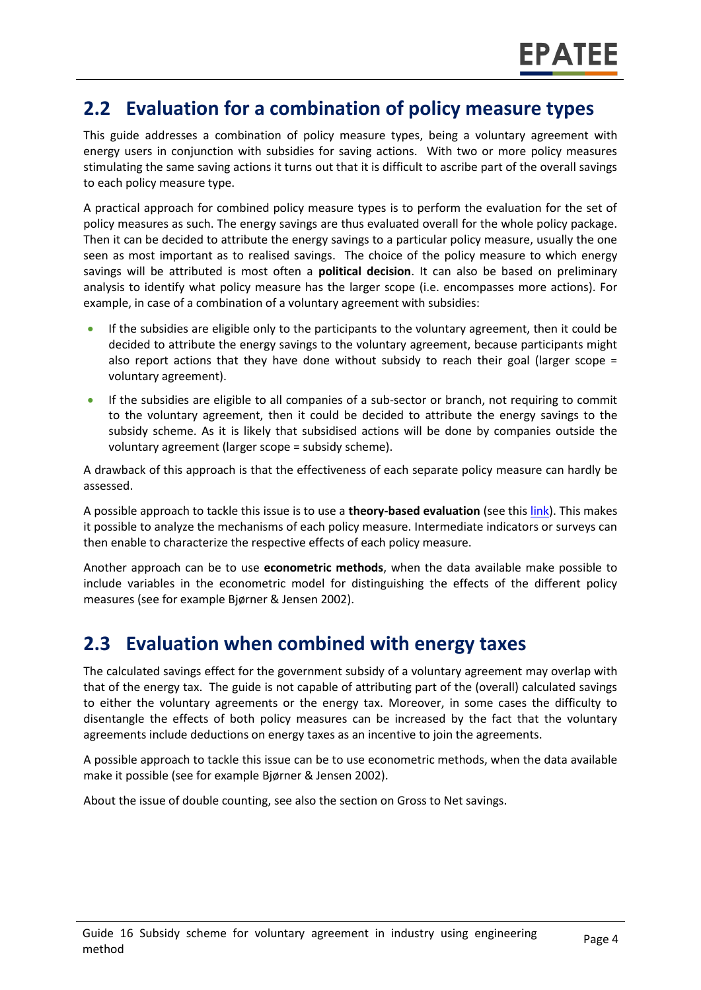### **2.2 Evaluation for a combination of policy measure types**

This guide addresses a combination of policy measure types, being a voluntary agreement with energy users in conjunction with subsidies for saving actions. With two or more policy measures stimulating the same saving actions it turns out that it is difficult to ascribe part of the overall savings to each policy measure type.

A practical approach for combined policy measure types is to perform the evaluation for the set of policy measures as such. The energy savings are thus evaluated overall for the whole policy package. Then it can be decided to attribute the energy savings to a particular policy measure, usually the one seen as most important as to realised savings. The choice of the policy measure to which energy savings will be attributed is most often a **political decision**. It can also be based on preliminary analysis to identify what policy measure has the larger scope (i.e. encompasses more actions). For example, in case of a combination of a voluntary agreement with subsidies:

- If the subsidies are eligible only to the participants to the voluntary agreement, then it could be decided to attribute the energy savings to the voluntary agreement, because participants might also report actions that they have done without subsidy to reach their goal (larger scope = voluntary agreement).
- If the subsidies are eligible to all companies of a sub-sector or branch, not requiring to commit to the voluntary agreement, then it could be decided to attribute the energy savings to the subsidy scheme. As it is likely that subsidised actions will be done by companies outside the voluntary agreement (larger scope = subsidy scheme).

A drawback of this approach is that the effectiveness of each separate policy measure can hardly be assessed.

A possible approach to tackle this issue is to use a **theory-based evaluation** (see thi[s link\)](https://www.epatee-toolbox.eu/evaluation-principles-and-methods/general-principles/evaluation-approaches-complementary-to-impact-evaluations/). This makes it possible to analyze the mechanisms of each policy measure. Intermediate indicators or surveys can then enable to characterize the respective effects of each policy measure.

Another approach can be to use **econometric methods**, when the data available make possible to include variables in the econometric model for distinguishing the effects of the different policy measures (see for example Bjørner & Jensen 2002).

### **2.3 Evaluation when combined with energy taxes**

The calculated savings effect for the government subsidy of a voluntary agreement may overlap with that of the energy tax. The guide is not capable of attributing part of the (overall) calculated savings to either the voluntary agreements or the energy tax. Moreover, in some cases the difficulty to disentangle the effects of both policy measures can be increased by the fact that the voluntary agreements include deductions on energy taxes as an incentive to join the agreements.

A possible approach to tackle this issue can be to use econometric methods, when the data available make it possible (see for example Bjørner & Jensen 2002).

About the issue of double counting, see also the section on Gross to Net savings.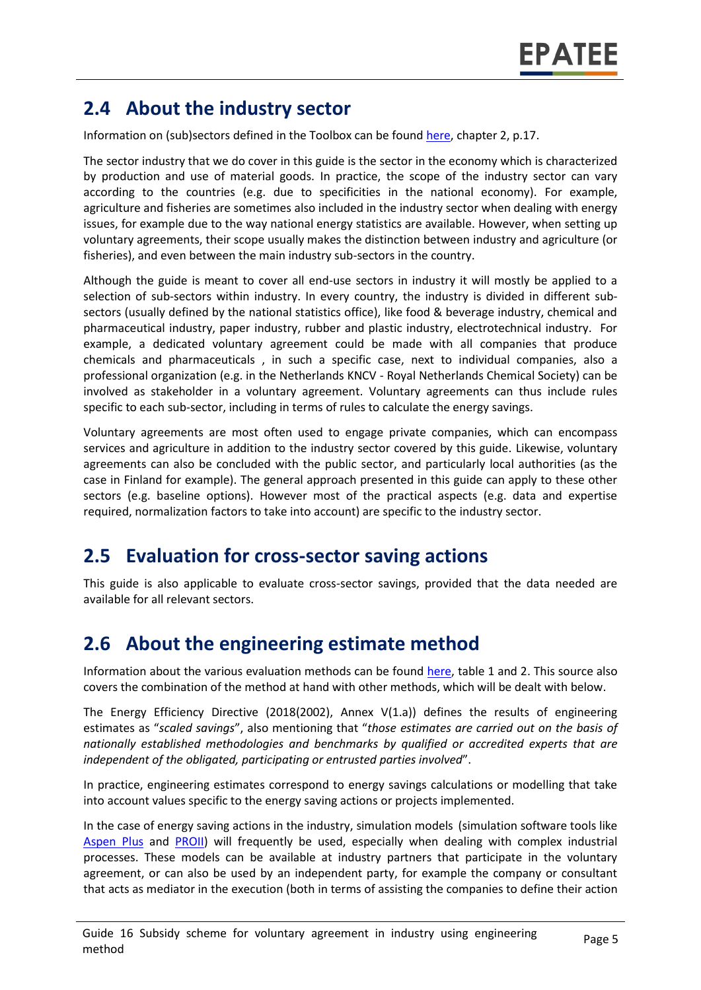### **2.4 About the industry sector**

Information on (sub)sectors defined in the Toolbox can be found [here,](https://www.epatee-toolbox.eu/wp-content/uploads/2018/10/Definitions-and-typologies-related-to-energy-savings-evaluation.pdf) chapter 2, p.17.

The sector industry that we do cover in this guide is the sector in the economy which is characterized by production and use of material goods. In practice, the scope of the industry sector can vary according to the countries (e.g. due to specificities in the national economy). For example, agriculture and fisheries are sometimes also included in the industry sector when dealing with energy issues, for example due to the way national energy statistics are available. However, when setting up voluntary agreements, their scope usually makes the distinction between industry and agriculture (or fisheries), and even between the main industry sub-sectors in the country.

Although the guide is meant to cover all end-use sectors in industry it will mostly be applied to a selection of sub-sectors within industry. In every country, the industry is divided in different subsectors (usually defined by the national statistics office), like food & beverage industry, chemical and pharmaceutical industry, paper industry, rubber and plastic industry, electrotechnical industry. For example, a dedicated voluntary agreement could be made with all companies that produce chemicals and pharmaceuticals , in such a specific case, next to individual companies, also a professional organization (e.g. in the Netherlands KNCV - Royal Netherlands Chemical Society) can be involved as stakeholder in a voluntary agreement. Voluntary agreements can thus include rules specific to each sub-sector, including in terms of rules to calculate the energy savings.

Voluntary agreements are most often used to engage private companies, which can encompass services and agriculture in addition to the industry sector covered by this guide. Likewise, voluntary agreements can also be concluded with the public sector, and particularly local authorities (as the case in Finland for example). The general approach presented in this guide can apply to these other sectors (e.g. baseline options). However most of the practical aspects (e.g. data and expertise required, normalization factors to take into account) are specific to the industry sector.

### **2.5 Evaluation for cross-sector saving actions**

This guide is also applicable to evaluate cross-sector savings, provided that the data needed are available for all relevant sectors.

### **2.6 About the engineering estimate method**

Information about the various evaluation methods can be found [here,](https://www.epatee-toolbox.eu/wp-content/uploads/2019/04/Saving_calculation_methods_for_EPATEE_Toobox_2019_04_24.pdf) table 1 and 2. This source also covers the combination of the method at hand with other methods, which will be dealt with below.

The Energy Efficiency Directive (2018(2002), Annex V(1.a)) defines the results of engineering estimates as "*scaled savings*", also mentioning that "*those estimates are carried out on the basis of nationally established methodologies and benchmarks by qualified or accredited experts that are independent of the obligated, participating or entrusted parties involved*".

In practice, engineering estimates correspond to energy savings calculations or modelling that take into account values specific to the energy saving actions or projects implemented.

In the case of energy saving actions in the industry, simulation models (simulation software tools like [Aspen Plus](https://www.aspentech.com/en/products/engineering/aspen-plus) and [PROII\)](https://sw.aveva.com/engineer-procure-construct/process-engineering-and-simulation/pro-ii-process-engineering) will frequently be used, especially when dealing with complex industrial processes. These models can be available at industry partners that participate in the voluntary agreement, or can also be used by an independent party, for example the company or consultant that acts as mediator in the execution (both in terms of assisting the companies to define their action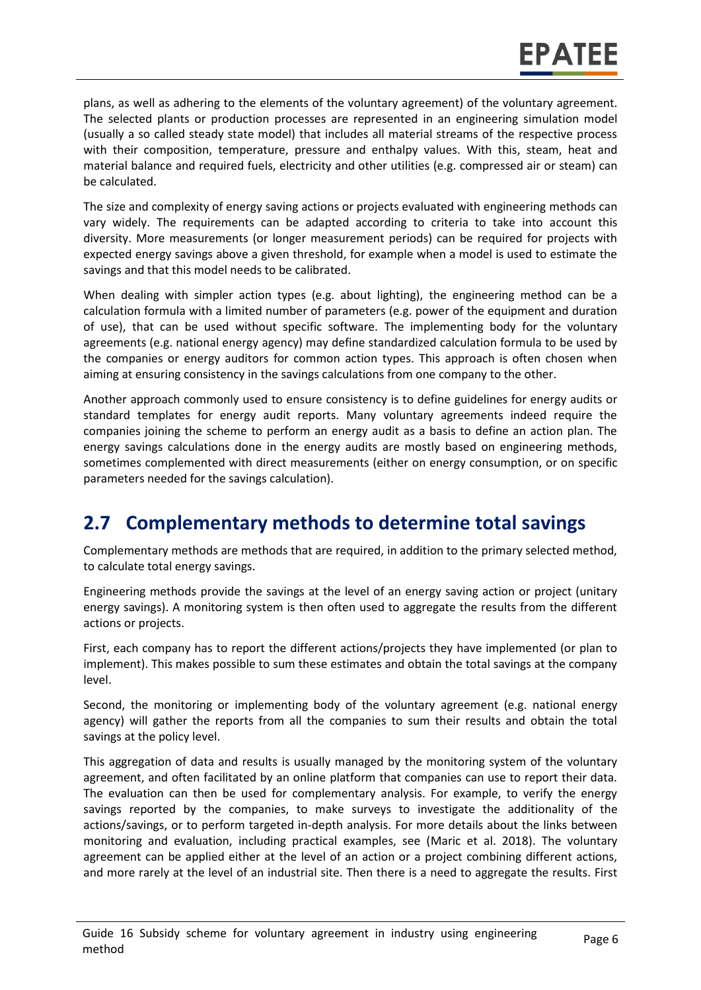plans, as well as adhering to the elements of the voluntary agreement) of the voluntary agreement. The selected plants or production processes are represented in an engineering simulation model (usually a so called steady state model) that includes all material streams of the respective process with their composition, temperature, pressure and enthalpy values. With this, steam, heat and material balance and required fuels, electricity and other utilities (e.g. compressed air or steam) can be calculated.

The size and complexity of energy saving actions or projects evaluated with engineering methods can vary widely. The requirements can be adapted according to criteria to take into account this diversity. More measurements (or longer measurement periods) can be required for projects with expected energy savings above a given threshold, for example when a model is used to estimate the savings and that this model needs to be calibrated.

When dealing with simpler action types (e.g. about lighting), the engineering method can be a calculation formula with a limited number of parameters (e.g. power of the equipment and duration of use), that can be used without specific software. The implementing body for the voluntary agreements (e.g. national energy agency) may define standardized calculation formula to be used by the companies or energy auditors for common action types. This approach is often chosen when aiming at ensuring consistency in the savings calculations from one company to the other.

Another approach commonly used to ensure consistency is to define guidelines for energy audits or standard templates for energy audit reports. Many voluntary agreements indeed require the companies joining the scheme to perform an energy audit as a basis to define an action plan. The energy savings calculations done in the energy audits are mostly based on engineering methods, sometimes complemented with direct measurements (either on energy consumption, or on specific parameters needed for the savings calculation).

### **2.7 Complementary methods to determine total savings**

Complementary methods are methods that are required, in addition to the primary selected method, to calculate total energy savings.

Engineering methods provide the savings at the level of an energy saving action or project (unitary energy savings). A monitoring system is then often used to aggregate the results from the different actions or projects.

First, each company has to report the different actions/projects they have implemented (or plan to implement). This makes possible to sum these estimates and obtain the total savings at the company level.

Second, the monitoring or implementing body of the voluntary agreement (e.g. national energy agency) will gather the reports from all the companies to sum their results and obtain the total savings at the policy level.

This aggregation of data and results is usually managed by the monitoring system of the voluntary agreement, and often facilitated by an online platform that companies can use to report their data. The evaluation can then be used for complementary analysis. For example, to verify the energy savings reported by the companies, to make surveys to investigate the additionality of the actions/savings, or to perform targeted in-depth analysis. For more details about the links between monitoring and evaluation, including practical examples, see (Maric et al. 2018). The voluntary agreement can be applied either at the level of an action or a project combining different actions, and more rarely at the level of an industrial site. Then there is a need to aggregate the results. First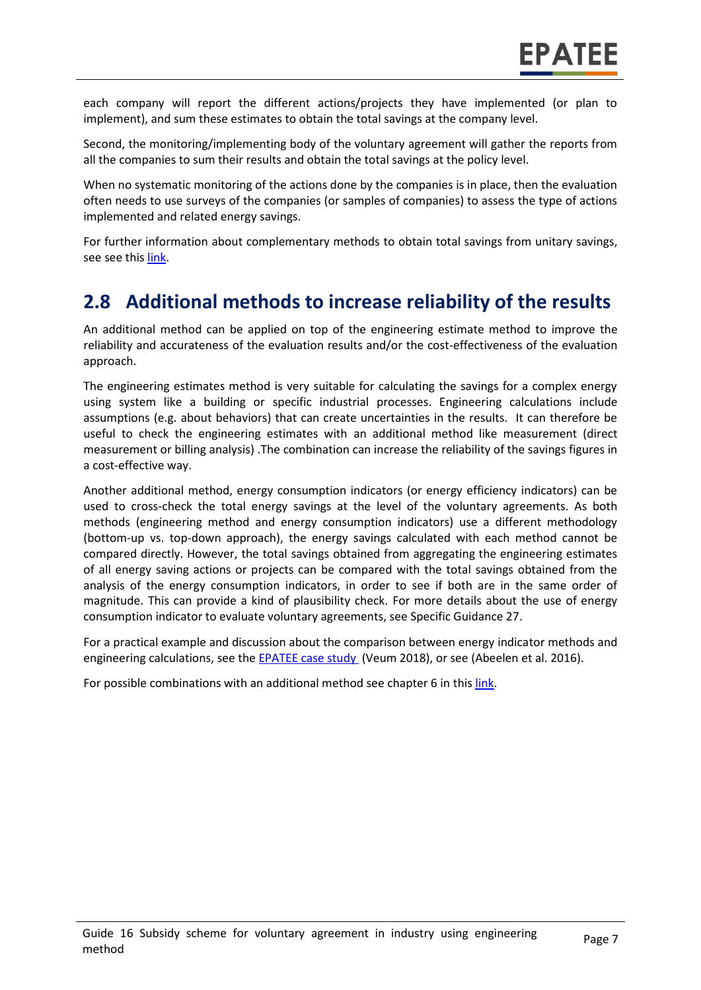each company will report the different actions/projects they have implemented (or plan to implement), and sum these estimates to obtain the total savings at the company level.

Second, the monitoring/implementing body of the voluntary agreement will gather the reports from all the companies to sum their results and obtain the total savings at the policy level.

When no systematic monitoring of the actions done by the companies is in place, then the evaluation often needs to use surveys of the companies (or samples of companies) to assess the type of actions implemented and related energy savings.

For further information about complementary methods to obtain total savings from unitary savings, see see this [link.](https://www.epatee-toolbox.eu/evaluation-principles-and-methods/general-principles/saving-calculation-methods-and-their-application-in-the-epatee-toolbox/)

### **2.8 Additional methods to increase reliability of the results**

An additional method can be applied on top of the engineering estimate method to improve the reliability and accurateness of the evaluation results and/or the cost-effectiveness of the evaluation approach.

The engineering estimates method is very suitable for calculating the savings for a complex energy using system like a building or specific industrial processes. Engineering calculations include assumptions (e.g. about behaviors) that can create uncertainties in the results. It can therefore be useful to check the engineering estimates with an additional method like measurement (direct measurement or billing analysis) .The combination can increase the reliability of the savings figures in a cost-effective way.

Another additional method, energy consumption indicators (or energy efficiency indicators) can be used to cross-check the total energy savings at the level of the voluntary agreements. As both methods (engineering method and energy consumption indicators) use a different methodology (bottom-up vs. top-down approach), the energy savings calculated with each method cannot be compared directly. However, the total savings obtained from aggregating the engineering estimates of all energy saving actions or projects can be compared with the total savings obtained from the analysis of the energy consumption indicators, in order to see if both are in the same order of magnitude. This can provide a kind of plausibility check. For more details about the use of energy consumption indicator to evaluate voluntary agreements, see Specific Guidance 27.

For a practical example and discussion about the comparison between energy indicator methods and engineering calculations, see th[e EPATEE case study](https://epatee.eu/sites/default/files/epatee_case_study_netherlands_mja3_voluntary_agreements_in_the_non-ets_sectors_ok.pdf) (Veum 2018), or see (Abeelen et al. 2016).

For possible combinations with an additional method see chapter 6 in thi[s link.](https://www.epatee-toolbox.eu/wp-content/uploads/2019/04/Application_of_KB_savings_baselines_and_correction_factors_in_the_Toolbox_and_PSMCs_190418_.pdf)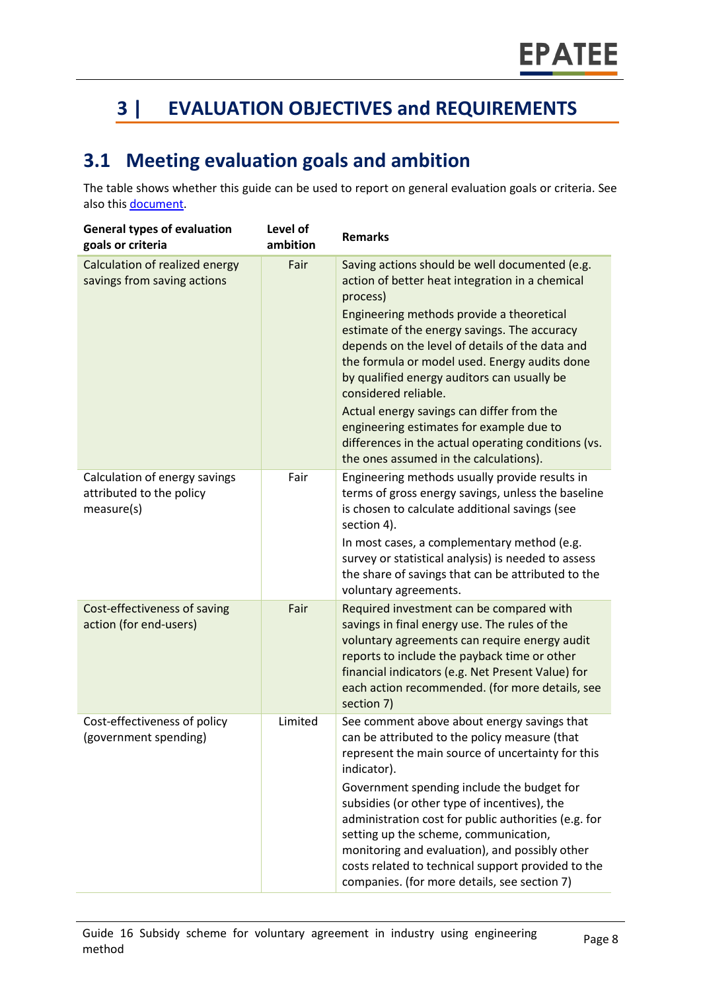# **3 | EVALUATION OBJECTIVES and REQUIREMENTS**

### **3.1 Meeting evaluation goals and ambition**

The table shows whether this guide can be used to report on general evaluation goals or criteria. See also this [document.](https://www.epatee-lib.eu/media/docs/D4_EMEEES_Final.pdf)

| <b>General types of evaluation</b><br>goals or criteria                 | Level of<br>ambition | <b>Remarks</b>                                                                                                                                                                                                                                                                                                                                                                                                                                                                                                                                                                  |
|-------------------------------------------------------------------------|----------------------|---------------------------------------------------------------------------------------------------------------------------------------------------------------------------------------------------------------------------------------------------------------------------------------------------------------------------------------------------------------------------------------------------------------------------------------------------------------------------------------------------------------------------------------------------------------------------------|
| Calculation of realized energy<br>savings from saving actions           | Fair                 | Saving actions should be well documented (e.g.<br>action of better heat integration in a chemical<br>process)<br>Engineering methods provide a theoretical<br>estimate of the energy savings. The accuracy<br>depends on the level of details of the data and<br>the formula or model used. Energy audits done<br>by qualified energy auditors can usually be<br>considered reliable.<br>Actual energy savings can differ from the<br>engineering estimates for example due to<br>differences in the actual operating conditions (vs.<br>the ones assumed in the calculations). |
| Calculation of energy savings<br>attributed to the policy<br>measure(s) | Fair                 | Engineering methods usually provide results in<br>terms of gross energy savings, unless the baseline<br>is chosen to calculate additional savings (see<br>section 4).<br>In most cases, a complementary method (e.g.<br>survey or statistical analysis) is needed to assess<br>the share of savings that can be attributed to the<br>voluntary agreements.                                                                                                                                                                                                                      |
| Cost-effectiveness of saving<br>action (for end-users)                  | Fair                 | Required investment can be compared with<br>savings in final energy use. The rules of the<br>voluntary agreements can require energy audit<br>reports to include the payback time or other<br>financial indicators (e.g. Net Present Value) for<br>each action recommended. (for more details, see<br>section 7)                                                                                                                                                                                                                                                                |
| Cost-effectiveness of policy<br>(government spending)                   | Limited              | See comment above about energy savings that<br>can be attributed to the policy measure (that<br>represent the main source of uncertainty for this<br>indicator).<br>Government spending include the budget for<br>subsidies (or other type of incentives), the<br>administration cost for public authorities (e.g. for<br>setting up the scheme, communication,<br>monitoring and evaluation), and possibly other<br>costs related to technical support provided to the<br>companies. (for more details, see section 7)                                                         |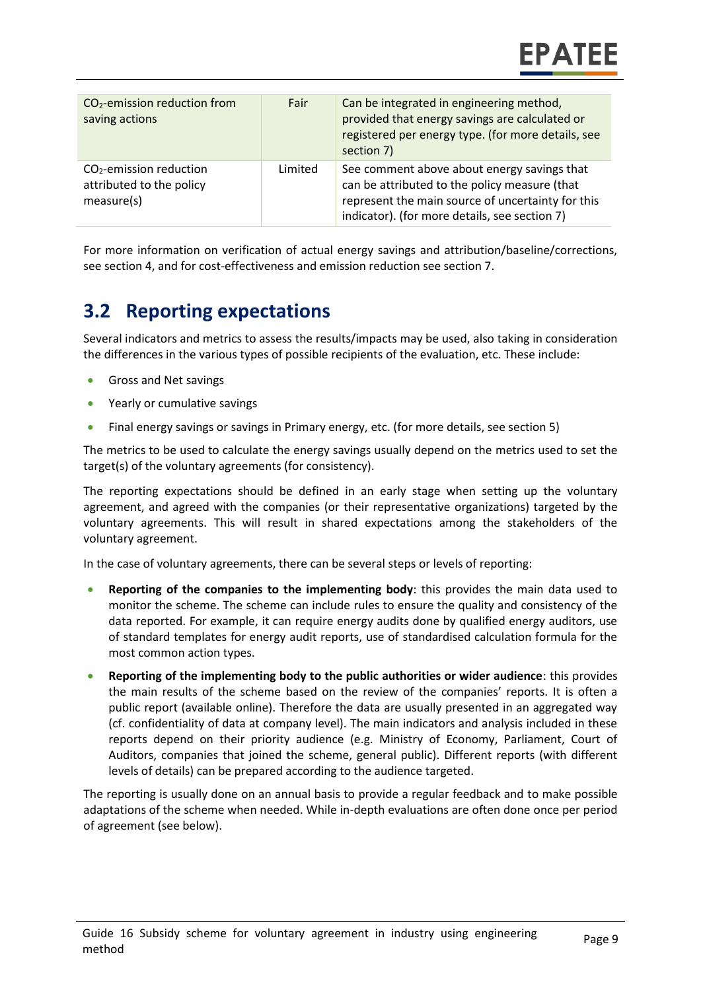| CO <sub>2</sub> -emission reduction from<br>saving actions          | Fair    | Can be integrated in engineering method,<br>provided that energy savings are calculated or<br>registered per energy type. (for more details, see<br>section 7)                                     |
|---------------------------------------------------------------------|---------|----------------------------------------------------------------------------------------------------------------------------------------------------------------------------------------------------|
| $CO2$ -emission reduction<br>attributed to the policy<br>measure(s) | Limited | See comment above about energy savings that<br>can be attributed to the policy measure (that<br>represent the main source of uncertainty for this<br>indicator). (for more details, see section 7) |

For more information on verification of actual energy savings and attribution/baseline/corrections, see section 4, and for cost-effectiveness and emission reduction see section 7.

### **3.2 Reporting expectations**

Several indicators and metrics to assess the results/impacts may be used, also taking in consideration the differences in the various types of possible recipients of the evaluation, etc. These include:

- Gross and Net savings
- Yearly or cumulative savings
- Final energy savings or savings in Primary energy, etc. (for more details, see section 5)

The metrics to be used to calculate the energy savings usually depend on the metrics used to set the target(s) of the voluntary agreements (for consistency).

The reporting expectations should be defined in an early stage when setting up the voluntary agreement, and agreed with the companies (or their representative organizations) targeted by the voluntary agreements. This will result in shared expectations among the stakeholders of the voluntary agreement.

In the case of voluntary agreements, there can be several steps or levels of reporting:

- **Reporting of the companies to the implementing body**: this provides the main data used to monitor the scheme. The scheme can include rules to ensure the quality and consistency of the data reported. For example, it can require energy audits done by qualified energy auditors, use of standard templates for energy audit reports, use of standardised calculation formula for the most common action types.
- **Reporting of the implementing body to the public authorities or wider audience**: this provides the main results of the scheme based on the review of the companies' reports. It is often a public report (available online). Therefore the data are usually presented in an aggregated way (cf. confidentiality of data at company level). The main indicators and analysis included in these reports depend on their priority audience (e.g. Ministry of Economy, Parliament, Court of Auditors, companies that joined the scheme, general public). Different reports (with different levels of details) can be prepared according to the audience targeted.

The reporting is usually done on an annual basis to provide a regular feedback and to make possible adaptations of the scheme when needed. While in-depth evaluations are often done once per period of agreement (see below).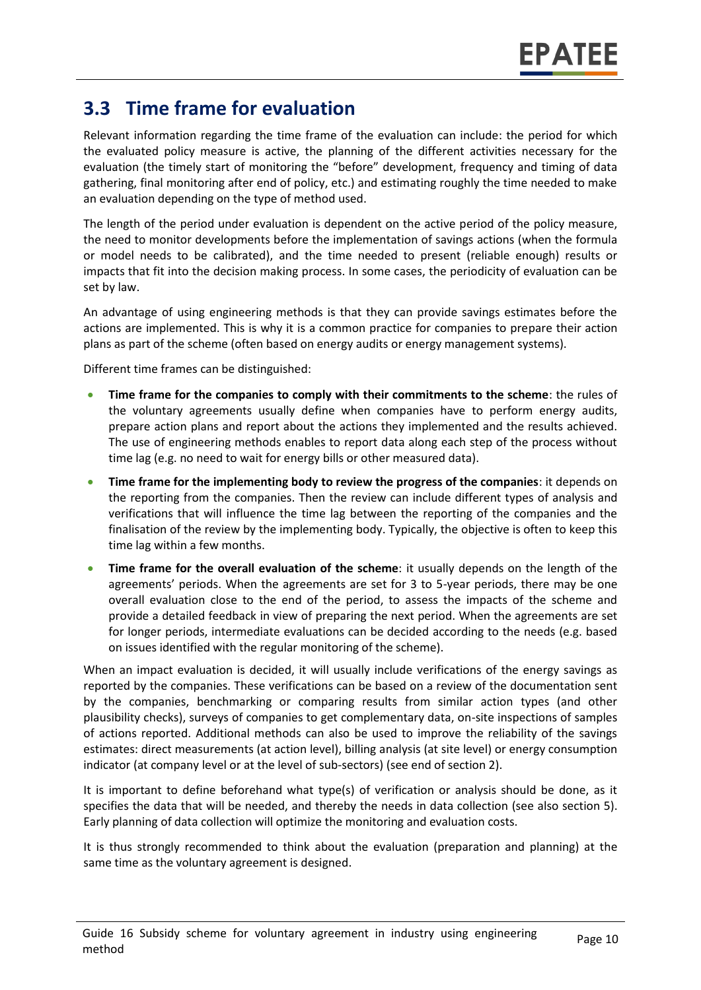### **3.3 Time frame for evaluation**

Relevant information regarding the time frame of the evaluation can include: the period for which the evaluated policy measure is active, the planning of the different activities necessary for the evaluation (the timely start of monitoring the "before" development, frequency and timing of data gathering, final monitoring after end of policy, etc.) and estimating roughly the time needed to make an evaluation depending on the type of method used.

The length of the period under evaluation is dependent on the active period of the policy measure, the need to monitor developments before the implementation of savings actions (when the formula or model needs to be calibrated), and the time needed to present (reliable enough) results or impacts that fit into the decision making process. In some cases, the periodicity of evaluation can be set by law.

An advantage of using engineering methods is that they can provide savings estimates before the actions are implemented. This is why it is a common practice for companies to prepare their action plans as part of the scheme (often based on energy audits or energy management systems).

Different time frames can be distinguished:

- **Time frame for the companies to comply with their commitments to the scheme**: the rules of the voluntary agreements usually define when companies have to perform energy audits, prepare action plans and report about the actions they implemented and the results achieved. The use of engineering methods enables to report data along each step of the process without time lag (e.g. no need to wait for energy bills or other measured data).
- **Time frame for the implementing body to review the progress of the companies**: it depends on the reporting from the companies. Then the review can include different types of analysis and verifications that will influence the time lag between the reporting of the companies and the finalisation of the review by the implementing body. Typically, the objective is often to keep this time lag within a few months.
- **Time frame for the overall evaluation of the scheme**: it usually depends on the length of the agreements' periods. When the agreements are set for 3 to 5-year periods, there may be one overall evaluation close to the end of the period, to assess the impacts of the scheme and provide a detailed feedback in view of preparing the next period. When the agreements are set for longer periods, intermediate evaluations can be decided according to the needs (e.g. based on issues identified with the regular monitoring of the scheme).

When an impact evaluation is decided, it will usually include verifications of the energy savings as reported by the companies. These verifications can be based on a review of the documentation sent by the companies, benchmarking or comparing results from similar action types (and other plausibility checks), surveys of companies to get complementary data, on-site inspections of samples of actions reported. Additional methods can also be used to improve the reliability of the savings estimates: direct measurements (at action level), billing analysis (at site level) or energy consumption indicator (at company level or at the level of sub-sectors) (see end of section 2).

It is important to define beforehand what type(s) of verification or analysis should be done, as it specifies the data that will be needed, and thereby the needs in data collection (see also section 5). Early planning of data collection will optimize the monitoring and evaluation costs.

It is thus strongly recommended to think about the evaluation (preparation and planning) at the same time as the voluntary agreement is designed.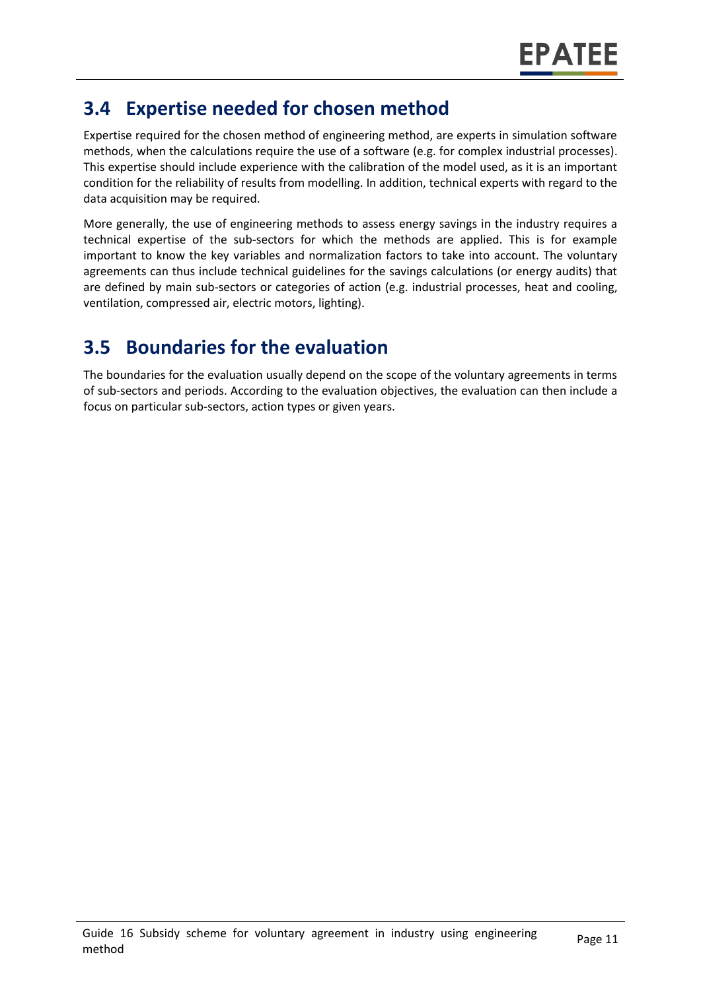### **3.4 Expertise needed for chosen method**

Expertise required for the chosen method of engineering method, are experts in simulation software methods, when the calculations require the use of a software (e.g. for complex industrial processes). This expertise should include experience with the calibration of the model used, as it is an important condition for the reliability of results from modelling. In addition, technical experts with regard to the data acquisition may be required.

More generally, the use of engineering methods to assess energy savings in the industry requires a technical expertise of the sub-sectors for which the methods are applied. This is for example important to know the key variables and normalization factors to take into account. The voluntary agreements can thus include technical guidelines for the savings calculations (or energy audits) that are defined by main sub-sectors or categories of action (e.g. industrial processes, heat and cooling, ventilation, compressed air, electric motors, lighting).

### **3.5 Boundaries for the evaluation**

The boundaries for the evaluation usually depend on the scope of the voluntary agreements in terms of sub-sectors and periods. According to the evaluation objectives, the evaluation can then include a focus on particular sub-sectors, action types or given years.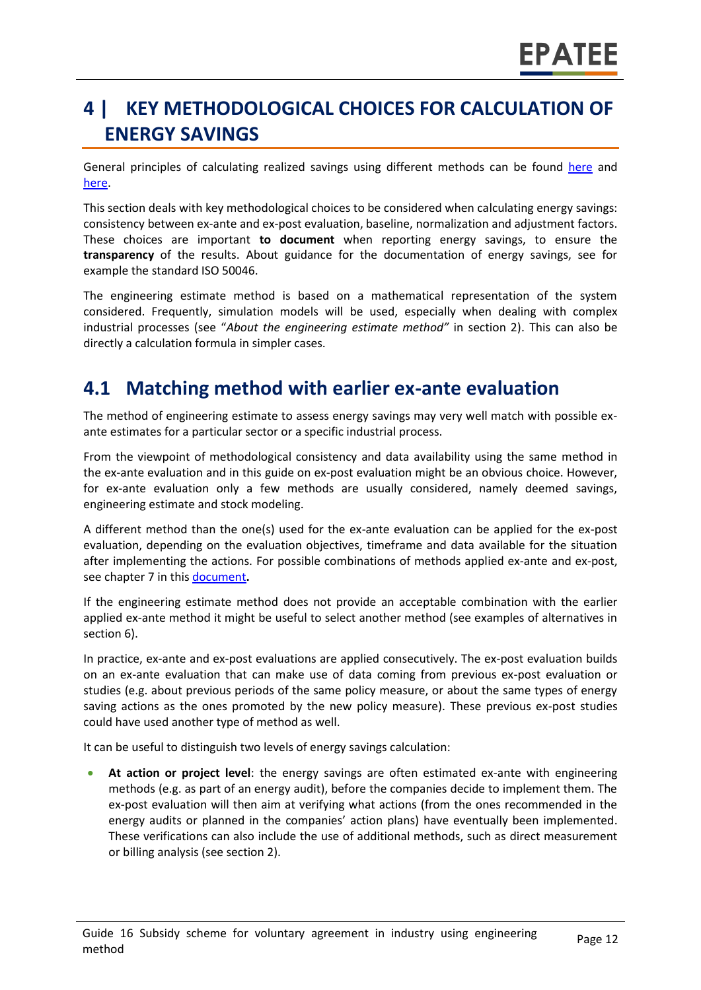# **4 | KEY METHODOLOGICAL CHOICES FOR CALCULATION OF ENERGY SAVINGS**

General principles of calculating realized savings using different methods can be found [here](https://www.epatee-lib.eu/media/docs/D4_EMEEES_Final.pdf) and [here.](https://www.epatee-lib.eu/media/docs/EMEEES_WP3_Report_Final.pdf)

This section deals with key methodological choices to be considered when calculating energy savings: consistency between ex-ante and ex-post evaluation, baseline, normalization and adjustment factors. These choices are important **to document** when reporting energy savings, to ensure the **transparency** of the results. About guidance for the documentation of energy savings, see for example the standard ISO 50046.

The engineering estimate method is based on a mathematical representation of the system considered. Frequently, simulation models will be used, especially when dealing with complex industrial processes (see "*About the engineering estimate method"* in section 2). This can also be directly a calculation formula in simpler cases.

### **4.1 Matching method with earlier ex-ante evaluation**

The method of engineering estimate to assess energy savings may very well match with possible exante estimates for a particular sector or a specific industrial process.

From the viewpoint of methodological consistency and data availability using the same method in the ex-ante evaluation and in this guide on ex-post evaluation might be an obvious choice. However, for ex-ante evaluation only a few methods are usually considered, namely deemed savings, engineering estimate and stock modeling.

A different method than the one(s) used for the ex-ante evaluation can be applied for the ex-post evaluation, depending on the evaluation objectives, timeframe and data available for the situation after implementing the actions. For possible combinations of methods applied ex-ante and ex-post, see chapter 7 in this [document](https://www.epatee-toolbox.eu/wp-content/uploads/2019/04/Saving_calculation_methods_for_EPATEE_Toobox_2019_04_24.pdf)**.**

If the engineering estimate method does not provide an acceptable combination with the earlier applied ex-ante method it might be useful to select another method (see examples of alternatives in sectio[n 6\)](#page-0-0).

In practice, ex-ante and ex-post evaluations are applied consecutively. The ex-post evaluation builds on an ex-ante evaluation that can make use of data coming from previous ex-post evaluation or studies (e.g. about previous periods of the same policy measure, or about the same types of energy saving actions as the ones promoted by the new policy measure). These previous ex-post studies could have used another type of method as well.

It can be useful to distinguish two levels of energy savings calculation:

• **At action or project level**: the energy savings are often estimated ex-ante with engineering methods (e.g. as part of an energy audit), before the companies decide to implement them. The ex-post evaluation will then aim at verifying what actions (from the ones recommended in the energy audits or planned in the companies' action plans) have eventually been implemented. These verifications can also include the use of additional methods, such as direct measurement or billing analysis (see section 2).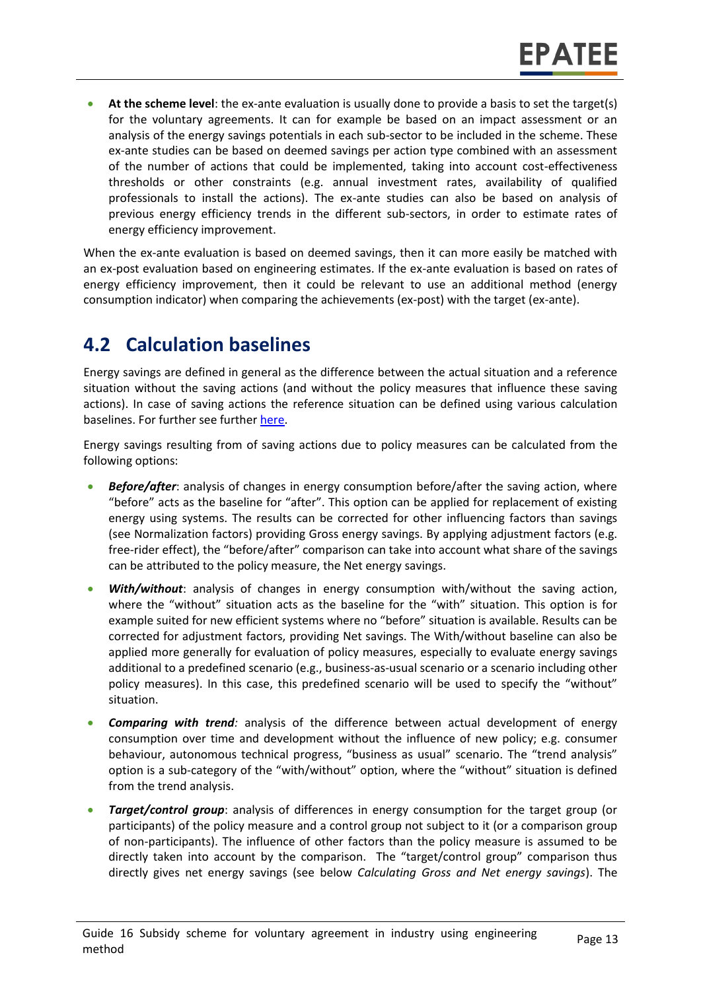• **At the scheme level**: the ex-ante evaluation is usually done to provide a basis to set the target(s) for the voluntary agreements. It can for example be based on an impact assessment or an analysis of the energy savings potentials in each sub-sector to be included in the scheme. These ex-ante studies can be based on deemed savings per action type combined with an assessment of the number of actions that could be implemented, taking into account cost-effectiveness thresholds or other constraints (e.g. annual investment rates, availability of qualified professionals to install the actions). The ex-ante studies can also be based on analysis of previous energy efficiency trends in the different sub-sectors, in order to estimate rates of energy efficiency improvement.

When the ex-ante evaluation is based on deemed savings, then it can more easily be matched with an ex-post evaluation based on engineering estimates. If the ex-ante evaluation is based on rates of energy efficiency improvement, then it could be relevant to use an additional method (energy consumption indicator) when comparing the achievements (ex-post) with the target (ex-ante).

### **4.2 Calculation baselines**

Energy savings are defined in general as the difference between the actual situation and a reference situation without the saving actions (and without the policy measures that influence these saving actions). In case of saving actions the reference situation can be defined using various calculation baselines. For further see further [here.](https://www.epatee-toolbox.eu/wp-content/uploads/2019/04/Application_of_KB_savings_baselines_and_correction_factors_in_the_Toolbox_and_PSMCs_190418_.pdf)

Energy savings resulting from of saving actions due to policy measures can be calculated from the following options:

- *Before/after*: analysis of changes in energy consumption before/after the saving action, where "before" acts as the baseline for "after". This option can be applied for replacement of existing energy using systems. The results can be corrected for other influencing factors than savings (see Normalization factors) providing Gross energy savings. By applying adjustment factors (e.g. free-rider effect), the "before/after" comparison can take into account what share of the savings can be attributed to the policy measure, the Net energy savings.
- *With/without*: analysis of changes in energy consumption with/without the saving action, where the "without" situation acts as the baseline for the "with" situation. This option is for example suited for new efficient systems where no "before" situation is available. Results can be corrected for adjustment factors, providing Net savings. The With/without baseline can also be applied more generally for evaluation of policy measures, especially to evaluate energy savings additional to a predefined scenario (e.g., business-as-usual scenario or a scenario including other policy measures). In this case, this predefined scenario will be used to specify the "without" situation.
- *Comparing with trend:* analysis of the difference between actual development of energy consumption over time and development without the influence of new policy; e.g. consumer behaviour, autonomous technical progress, "business as usual" scenario. The "trend analysis" option is a sub-category of the "with/without" option, where the "without" situation is defined from the trend analysis.
- *Target/control group*: analysis of differences in energy consumption for the target group (or participants) of the policy measure and a control group not subject to it (or a comparison group of non-participants). The influence of other factors than the policy measure is assumed to be directly taken into account by the comparison. The "target/control group" comparison thus directly gives net energy savings (see below *Calculating Gross and Net energy savings*). The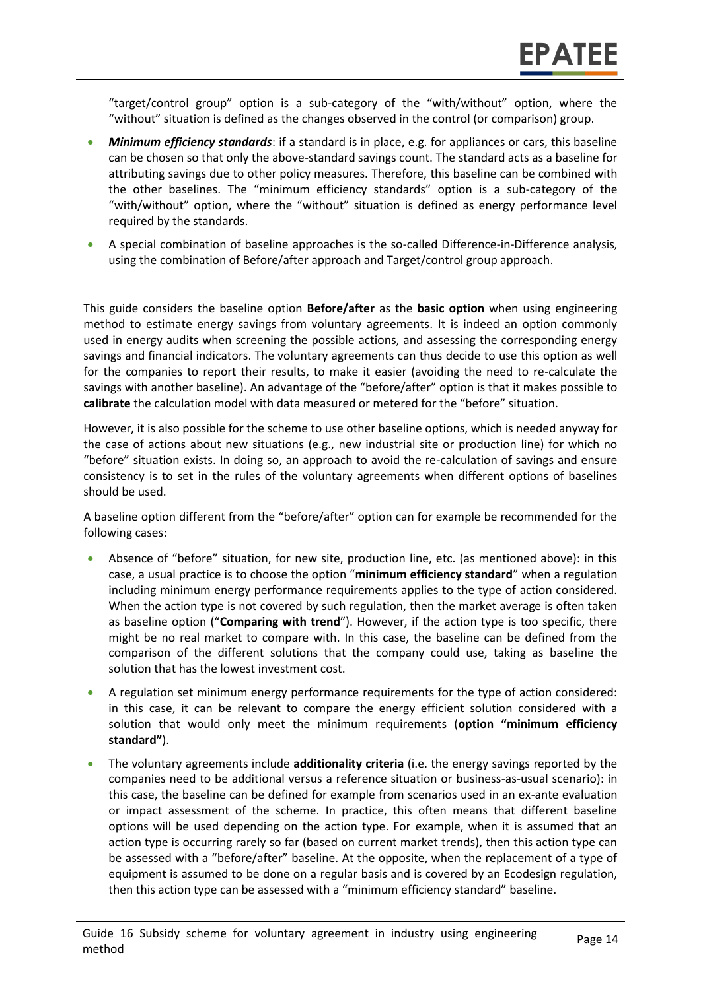"target/control group" option is a sub-category of the "with/without" option, where the "without" situation is defined as the changes observed in the control (or comparison) group.

- *Minimum efficiency standards*: if a standard is in place, e.g. for appliances or cars, this baseline can be chosen so that only the above-standard savings count. The standard acts as a baseline for attributing savings due to other policy measures. Therefore, this baseline can be combined with the other baselines. The "minimum efficiency standards" option is a sub-category of the "with/without" option, where the "without" situation is defined as energy performance level required by the standards.
- A special combination of baseline approaches is the so-called Difference-in-Difference analysis, using the combination of Before/after approach and Target/control group approach.

This guide considers the baseline option **Before/after** as the **basic option** when using engineering method to estimate energy savings from voluntary agreements. It is indeed an option commonly used in energy audits when screening the possible actions, and assessing the corresponding energy savings and financial indicators. The voluntary agreements can thus decide to use this option as well for the companies to report their results, to make it easier (avoiding the need to re-calculate the savings with another baseline). An advantage of the "before/after" option is that it makes possible to **calibrate** the calculation model with data measured or metered for the "before" situation.

However, it is also possible for the scheme to use other baseline options, which is needed anyway for the case of actions about new situations (e.g., new industrial site or production line) for which no "before" situation exists. In doing so, an approach to avoid the re-calculation of savings and ensure consistency is to set in the rules of the voluntary agreements when different options of baselines should be used.

A baseline option different from the "before/after" option can for example be recommended for the following cases:

- Absence of "before" situation, for new site, production line, etc. (as mentioned above): in this case, a usual practice is to choose the option "**minimum efficiency standard**" when a regulation including minimum energy performance requirements applies to the type of action considered. When the action type is not covered by such regulation, then the market average is often taken as baseline option ("**Comparing with trend**"). However, if the action type is too specific, there might be no real market to compare with. In this case, the baseline can be defined from the comparison of the different solutions that the company could use, taking as baseline the solution that has the lowest investment cost.
- A regulation set minimum energy performance requirements for the type of action considered: in this case, it can be relevant to compare the energy efficient solution considered with a solution that would only meet the minimum requirements (**option "minimum efficiency standard"**).
- The voluntary agreements include **additionality criteria** (i.e. the energy savings reported by the companies need to be additional versus a reference situation or business-as-usual scenario): in this case, the baseline can be defined for example from scenarios used in an ex-ante evaluation or impact assessment of the scheme. In practice, this often means that different baseline options will be used depending on the action type. For example, when it is assumed that an action type is occurring rarely so far (based on current market trends), then this action type can be assessed with a "before/after" baseline. At the opposite, when the replacement of a type of equipment is assumed to be done on a regular basis and is covered by an Ecodesign regulation, then this action type can be assessed with a "minimum efficiency standard" baseline.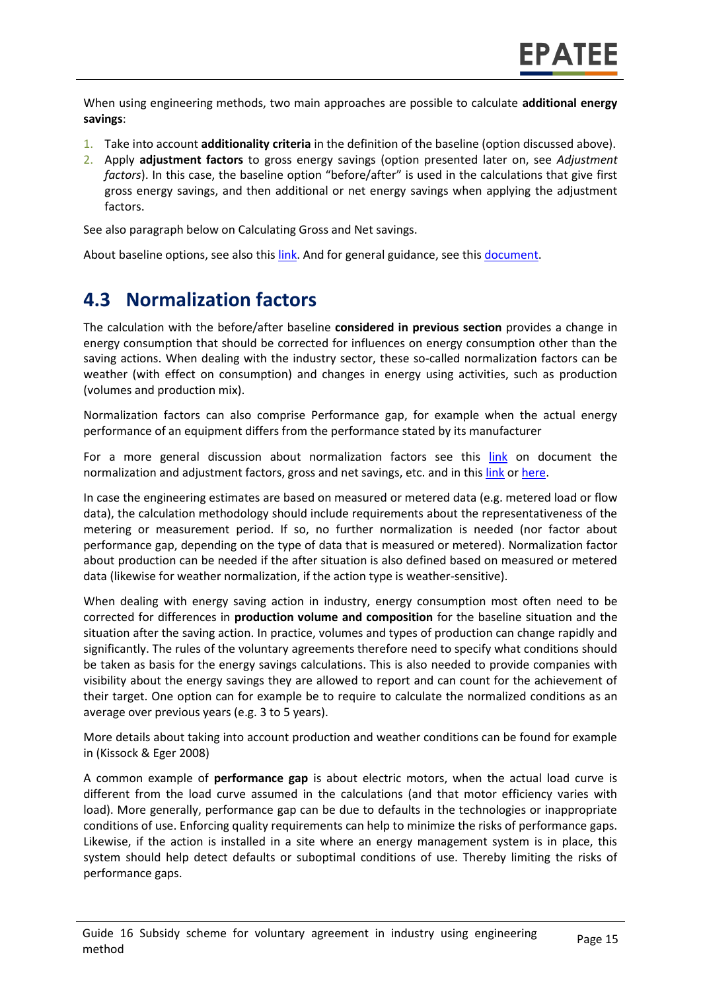When using engineering methods, two main approaches are possible to calculate **additional energy savings**:

- 1. Take into account **additionality criteria** in the definition of the baseline (option discussed above).
- 2. Apply **adjustment factors** to gross energy savings (option presented later on, see *Adjustment factors*). In this case, the baseline option "before/after" is used in the calculations that give first gross energy savings, and then additional or net energy savings when applying the adjustment factors.

See also paragraph below on Calculating Gross and Net savings.

About baseline options, see also this [link.](https://www.epatee-toolbox.eu/wp-content/uploads/2019/04/Application_of_KB_savings_baselines_and_correction_factors_in_the_Toolbox_and_PSMCs_190418_.pdf) And for general guidance, see thi[s document.](https://www.academia.edu/14979876/Evaluating_energy_efficiency_policy_measures_and_DSM_programmes)

### **4.3 Normalization factors**

The calculation with the before/after baseline **considered in previous section** provides a change in energy consumption that should be corrected for influences on energy consumption other than the saving actions. When dealing with the industry sector, these so-called normalization factors can be weather (with effect on consumption) and changes in energy using activities, such as production (volumes and production mix).

Normalization factors can also comprise Performance gap, for example when the actual energy performance of an equipment differs from the performance stated by its manufacturer

For a more general discussion about normalization factors see this [link](https://www.epatee-toolbox.eu/wp-content/uploads/2019/04/Saving_calculation_methods_for_EPATEE_Toobox_2019_04_24.pdf) on document the normalization and adjustment factors, gross and net savings, etc. and in thi[s link](https://www.academia.edu/14979876/Evaluating_energy_efficiency_policy_measures_and_DSM_programmes) or [here.](https://www.eceee.org/library/conference_proceedings/eceee_Summer_Studies/2017/8-monitoring-and-evaluation-building-confidence-and-enhancing-practices/impacts-and-cost-effectiveness-of-major-energy-efficiency-policies-for-existing-buildings-what-do-we-exactly-know-and-what-can-we-learn/)

In case the engineering estimates are based on measured or metered data (e.g. metered load or flow data), the calculation methodology should include requirements about the representativeness of the metering or measurement period. If so, no further normalization is needed (nor factor about performance gap, depending on the type of data that is measured or metered). Normalization factor about production can be needed if the after situation is also defined based on measured or metered data (likewise for weather normalization, if the action type is weather-sensitive).

When dealing with energy saving action in industry, energy consumption most often need to be corrected for differences in **production volume and composition** for the baseline situation and the situation after the saving action. In practice, volumes and types of production can change rapidly and significantly. The rules of the voluntary agreements therefore need to specify what conditions should be taken as basis for the energy savings calculations. This is also needed to provide companies with visibility about the energy savings they are allowed to report and can count for the achievement of their target. One option can for example be to require to calculate the normalized conditions as an average over previous years (e.g. 3 to 5 years).

More details about taking into account production and weather conditions can be found for example in (Kissock & Eger 2008)

A common example of **performance gap** is about electric motors, when the actual load curve is different from the load curve assumed in the calculations (and that motor efficiency varies with load). More generally, performance gap can be due to defaults in the technologies or inappropriate conditions of use. Enforcing quality requirements can help to minimize the risks of performance gaps. Likewise, if the action is installed in a site where an energy management system is in place, this system should help detect defaults or suboptimal conditions of use. Thereby limiting the risks of performance gaps.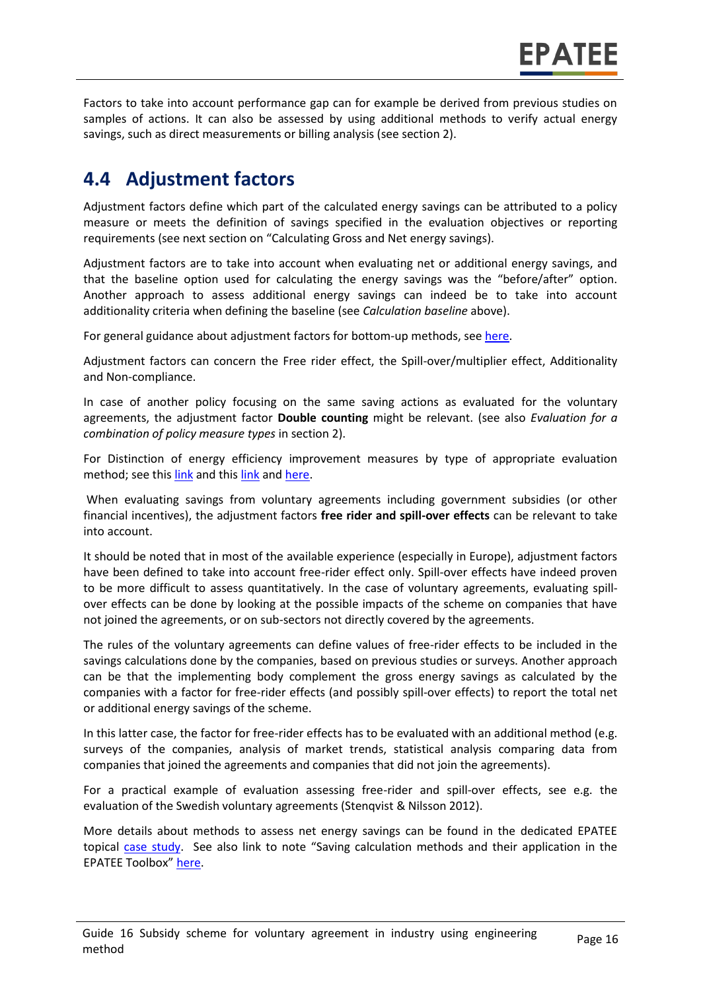Factors to take into account performance gap can for example be derived from previous studies on samples of actions. It can also be assessed by using additional methods to verify actual energy savings, such as direct measurements or billing analysis (see section 2).

### **4.4 Adjustment factors**

Adjustment factors define which part of the calculated energy savings can be attributed to a policy measure or meets the definition of savings specified in the evaluation objectives or reporting requirements (see next section on "Calculating Gross and Net energy savings).

Adjustment factors are to take into account when evaluating net or additional energy savings, and that the baseline option used for calculating the energy savings was the "before/after" option. Another approach to assess additional energy savings can indeed be to take into account additionality criteria when defining the baseline (see *Calculation baseline* above).

For general guidance about adjustment factors for bottom-up methods, see [here.](https://www.epatee-toolbox.eu/wp-content/uploads/2019/04/Application_of_KB_savings_baselines_and_correction_factors_in_the_Toolbox_and_PSMCs_190418_.pdf)

Adjustment factors can concern the Free rider effect, the Spill-over/multiplier effect, Additionality and Non-compliance.

In case of another policy focusing on the same saving actions as evaluated for the voluntary agreements, the adjustment factor **Double counting** might be relevant. (see also *Evaluation for a combination of policy measure types* in section 2).

For Distinction of energy efficiency improvement measures by type of appropriate evaluation method; see this [link](https://www.epatee-lib.eu/media/docs/EMEEES_WP3_Report_Final.pdf) and thi[s link](https://www.academia.edu/14979876/Evaluating_energy_efficiency_policy_measures_and_DSM_programmes) and [here.](https://www.epatee-lib.eu/media/docs/D4_EMEEES_Final.pdf)

When evaluating savings from voluntary agreements including government subsidies (or other financial incentives), the adjustment factors **free rider and spill-over effects** can be relevant to take into account.

It should be noted that in most of the available experience (especially in Europe), adjustment factors have been defined to take into account free-rider effect only. Spill-over effects have indeed proven to be more difficult to assess quantitatively. In the case of voluntary agreements, evaluating spillover effects can be done by looking at the possible impacts of the scheme on companies that have not joined the agreements, or on sub-sectors not directly covered by the agreements.

The rules of the voluntary agreements can define values of free-rider effects to be included in the savings calculations done by the companies, based on previous studies or surveys. Another approach can be that the implementing body complement the gross energy savings as calculated by the companies with a factor for free-rider effects (and possibly spill-over effects) to report the total net or additional energy savings of the scheme.

In this latter case, the factor for free-rider effects has to be evaluated with an additional method (e.g. surveys of the companies, analysis of market trends, statistical analysis comparing data from companies that joined the agreements and companies that did not join the agreements).

For a practical example of evaluation assessing free-rider and spill-over effects, see e.g. the evaluation of the Swedish voluntary agreements (Stenqvist & Nilsson 2012).

More details about methods to assess net energy savings can be found in the dedicated EPATEE topical [case study.](https://www.epatee-toolbox.eu/wp-content/uploads/2018/10/epatee_topical_case_study_evaluating_net_energy_savings.pdf) See also link to note "Saving calculation methods and their application in the EPATEE Toolbox" [here.](https://www.epatee-toolbox.eu/wp-content/uploads/2019/04/Application_of_KB_savings_baselines_and_correction_factors_in_the_Toolbox_and_PSMCs_190418_.pdf)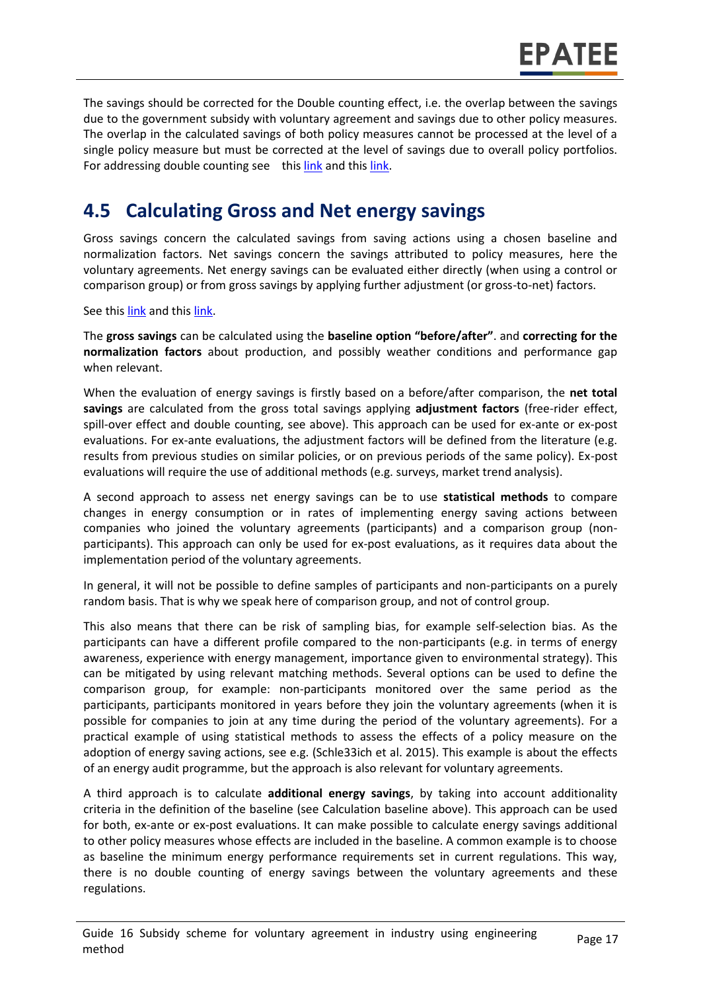The savings should be corrected for the Double counting effect, i.e. the overlap between the savings due to the government subsidy with voluntary agreement and savings due to other policy measures. The overlap in the calculated savings of both policy measures cannot be processed at the level of a single policy measure but must be corrected at the level of savings due to overall policy portfolios. For addressing double counting see this [link](https://www.academia.edu/14979876/Evaluating_energy_efficiency_policy_measures_and_DSM_programmes) and thi[s link.](https://www.epatee-lib.eu/media/docs/D4_EMEEES_Final.pdf)

### **4.5 Calculating Gross and Net energy savings**

Gross savings concern the calculated savings from saving actions using a chosen baseline and normalization factors. Net savings concern the savings attributed to policy measures, here the voluntary agreements. Net energy savings can be evaluated either directly (when using a control or comparison group) or from gross savings by applying further adjustment (or gross-to-net) factors.

See this [link](https://www.academia.edu/14979876/Evaluating_energy_efficiency_policy_measures_and_DSM_programmes) and thi[s link.](https://www.epatee-lib.eu/media/docs/D4_EMEEES_Final.pdf)

The **gross savings** can be calculated using the **baseline option "before/after"**. and **correcting for the normalization factors** about production, and possibly weather conditions and performance gap when relevant.

When the evaluation of energy savings is firstly based on a before/after comparison, the **net total savings** are calculated from the gross total savings applying **adjustment factors** (free-rider effect, spill-over effect and double counting, see above). This approach can be used for ex-ante or ex-post evaluations. For ex-ante evaluations, the adjustment factors will be defined from the literature (e.g. results from previous studies on similar policies, or on previous periods of the same policy). Ex-post evaluations will require the use of additional methods (e.g. surveys, market trend analysis).

A second approach to assess net energy savings can be to use **statistical methods** to compare changes in energy consumption or in rates of implementing energy saving actions between companies who joined the voluntary agreements (participants) and a comparison group (nonparticipants). This approach can only be used for ex-post evaluations, as it requires data about the implementation period of the voluntary agreements.

In general, it will not be possible to define samples of participants and non-participants on a purely random basis. That is why we speak here of comparison group, and not of control group.

This also means that there can be risk of sampling bias, for example self-selection bias. As the participants can have a different profile compared to the non-participants (e.g. in terms of energy awareness, experience with energy management, importance given to environmental strategy). This can be mitigated by using relevant matching methods. Several options can be used to define the comparison group, for example: non-participants monitored over the same period as the participants, participants monitored in years before they join the voluntary agreements (when it is possible for companies to join at any time during the period of the voluntary agreements). For a practical example of using statistical methods to assess the effects of a policy measure on the adoption of energy saving actions, see e.g. (Schle33ich et al. 2015). This example is about the effects of an energy audit programme, but the approach is also relevant for voluntary agreements.

A third approach is to calculate **additional energy savings**, by taking into account additionality criteria in the definition of the baseline (see Calculation baseline above). This approach can be used for both, ex-ante or ex-post evaluations. It can make possible to calculate energy savings additional to other policy measures whose effects are included in the baseline. A common example is to choose as baseline the minimum energy performance requirements set in current regulations. This way, there is no double counting of energy savings between the voluntary agreements and these regulations.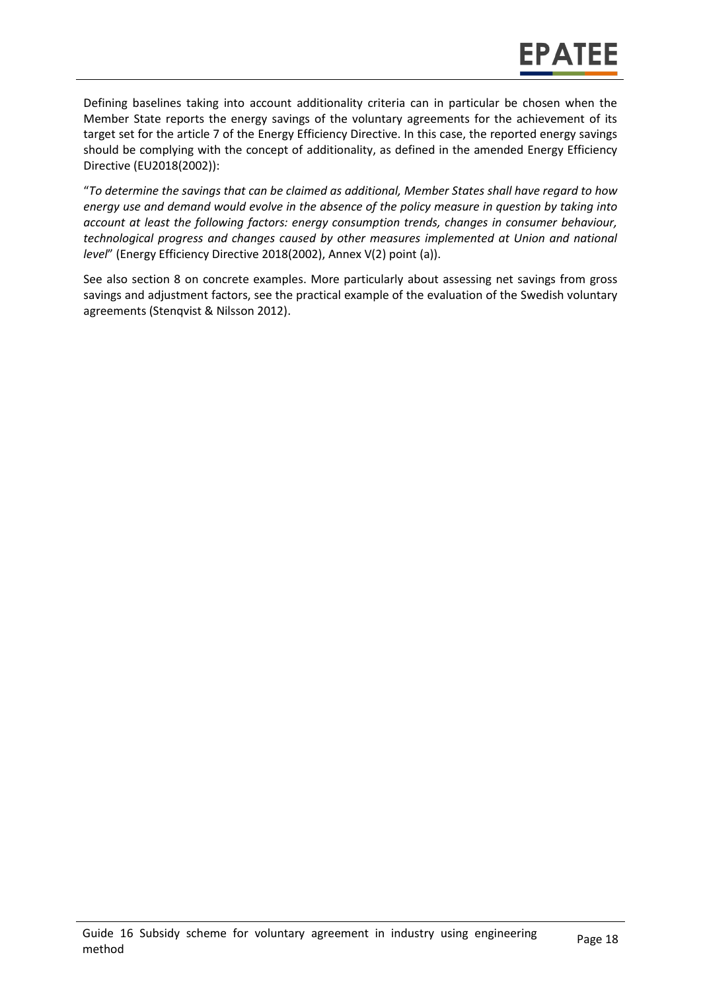Defining baselines taking into account additionality criteria can in particular be chosen when the Member State reports the energy savings of the voluntary agreements for the achievement of its target set for the article 7 of the Energy Efficiency Directive. In this case, the reported energy savings should be complying with the concept of additionality, as defined in the amended Energy Efficiency Directive (EU2018(2002)):

"*To determine the savings that can be claimed as additional, Member States shall have regard to how energy use and demand would evolve in the absence of the policy measure in question by taking into account at least the following factors: energy consumption trends, changes in consumer behaviour, technological progress and changes caused by other measures implemented at Union and national level*" (Energy Efficiency Directive 2018(2002), Annex V(2) point (a)).

See also section 8 on concrete examples. More particularly about assessing net savings from gross savings and adjustment factors, see the practical example of the evaluation of the Swedish voluntary agreements (Stenqvist & Nilsson 2012).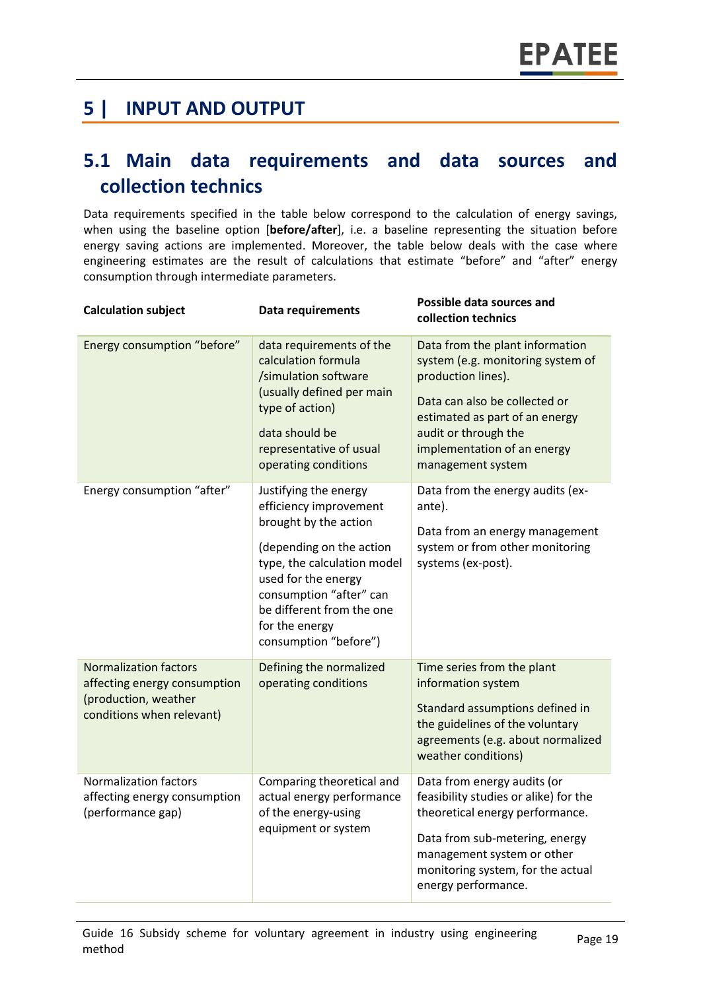### **5 | INPUT AND OUTPUT**

### **5.1 Main data requirements and data sources and collection technics**

Data requirements specified in the table below correspond to the calculation of energy savings, when using the baseline option [**before/after**], i.e. a baseline representing the situation before energy saving actions are implemented. Moreover, the table below deals with the case where engineering estimates are the result of calculations that estimate "before" and "after" energy consumption through intermediate parameters.

| <b>Calculation subject</b>                                                                                        | Data requirements                                                                                                                                                                                                                                             | Possible data sources and<br>collection technics                                                                                                                                                                                          |
|-------------------------------------------------------------------------------------------------------------------|---------------------------------------------------------------------------------------------------------------------------------------------------------------------------------------------------------------------------------------------------------------|-------------------------------------------------------------------------------------------------------------------------------------------------------------------------------------------------------------------------------------------|
| Energy consumption "before"                                                                                       | data requirements of the<br>calculation formula<br>/simulation software<br>(usually defined per main<br>type of action)<br>data should be<br>representative of usual<br>operating conditions                                                                  | Data from the plant information<br>system (e.g. monitoring system of<br>production lines).<br>Data can also be collected or<br>estimated as part of an energy<br>audit or through the<br>implementation of an energy<br>management system |
| Energy consumption "after"                                                                                        | Justifying the energy<br>efficiency improvement<br>brought by the action<br>(depending on the action<br>type, the calculation model<br>used for the energy<br>consumption "after" can<br>be different from the one<br>for the energy<br>consumption "before") | Data from the energy audits (ex-<br>ante).<br>Data from an energy management<br>system or from other monitoring<br>systems (ex-post).                                                                                                     |
| <b>Normalization factors</b><br>affecting energy consumption<br>(production, weather<br>conditions when relevant) | Defining the normalized<br>operating conditions                                                                                                                                                                                                               | Time series from the plant<br>information system<br>Standard assumptions defined in<br>the guidelines of the voluntary<br>agreements (e.g. about normalized<br>weather conditions)                                                        |
| <b>Normalization factors</b><br>affecting energy consumption<br>(performance gap)                                 | Comparing theoretical and<br>actual energy performance<br>of the energy-using<br>equipment or system                                                                                                                                                          | Data from energy audits (or<br>feasibility studies or alike) for the<br>theoretical energy performance.<br>Data from sub-metering, energy<br>management system or other<br>monitoring system, for the actual<br>energy performance.       |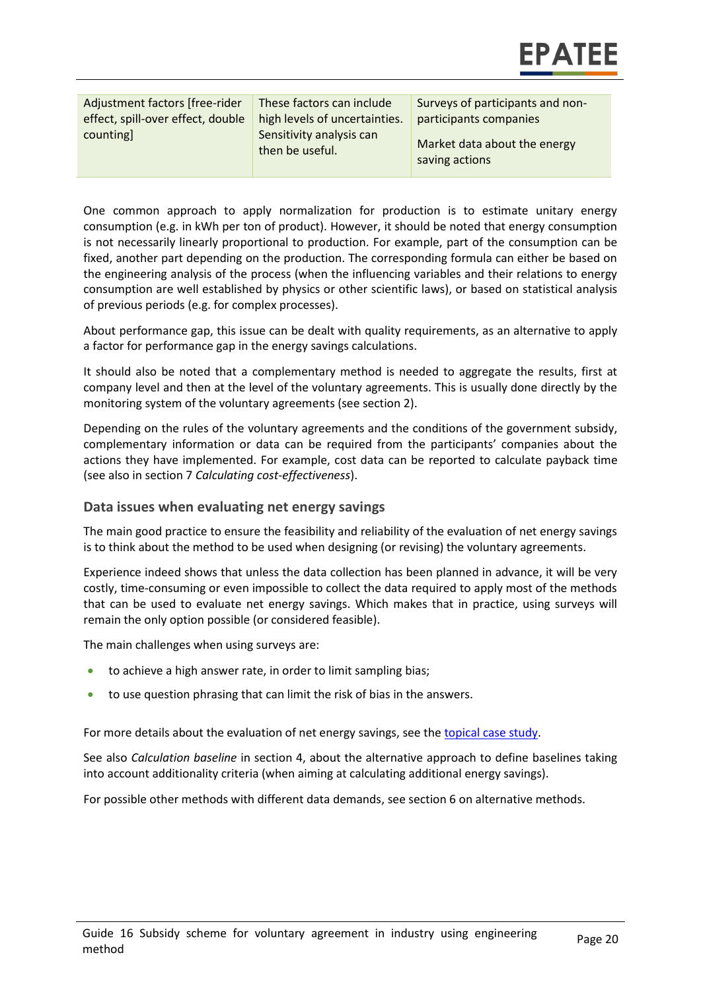| Adjustment factors [free-rider<br>effect, spill-over effect, double<br>counting | These factors can include<br>high levels of uncertainties.<br>Sensitivity analysis can<br>then be useful. | Surveys of participants and non-<br>participants companies |
|---------------------------------------------------------------------------------|-----------------------------------------------------------------------------------------------------------|------------------------------------------------------------|
|                                                                                 |                                                                                                           | Market data about the energy<br>saving actions             |

One common approach to apply normalization for production is to estimate unitary energy consumption (e.g. in kWh per ton of product). However, it should be noted that energy consumption is not necessarily linearly proportional to production. For example, part of the consumption can be fixed, another part depending on the production. The corresponding formula can either be based on the engineering analysis of the process (when the influencing variables and their relations to energy consumption are well established by physics or other scientific laws), or based on statistical analysis of previous periods (e.g. for complex processes).

About performance gap, this issue can be dealt with quality requirements, as an alternative to apply a factor for performance gap in the energy savings calculations.

It should also be noted that a complementary method is needed to aggregate the results, first at company level and then at the level of the voluntary agreements. This is usually done directly by the monitoring system of the voluntary agreements (see section 2).

Depending on the rules of the voluntary agreements and the conditions of the government subsidy, complementary information or data can be required from the participants' companies about the actions they have implemented. For example, cost data can be reported to calculate payback time (see also in section 7 *Calculating cost-effectiveness*).

#### **Data issues when evaluating net energy savings**

The main good practice to ensure the feasibility and reliability of the evaluation of net energy savings is to think about the method to be used when designing (or revising) the voluntary agreements.

Experience indeed shows that unless the data collection has been planned in advance, it will be very costly, time-consuming or even impossible to collect the data required to apply most of the methods that can be used to evaluate net energy savings. Which makes that in practice, using surveys will remain the only option possible (or considered feasible).

The main challenges when using surveys are:

- to achieve a high answer rate, in order to limit sampling bias;
- to use question phrasing that can limit the risk of bias in the answers.

For more details about the evaluation of net energy savings, see the [topical case study.](https://www.epatee-toolbox.eu/wp-content/uploads/2018/10/epatee_topical_case_study_evaluating_net_energy_savings.pdf)

See also *Calculation baseline* in section 4, about the alternative approach to define baselines taking into account additionality criteria (when aiming at calculating additional energy savings).

For possible other methods with different data demands, see section 6 on alternative methods.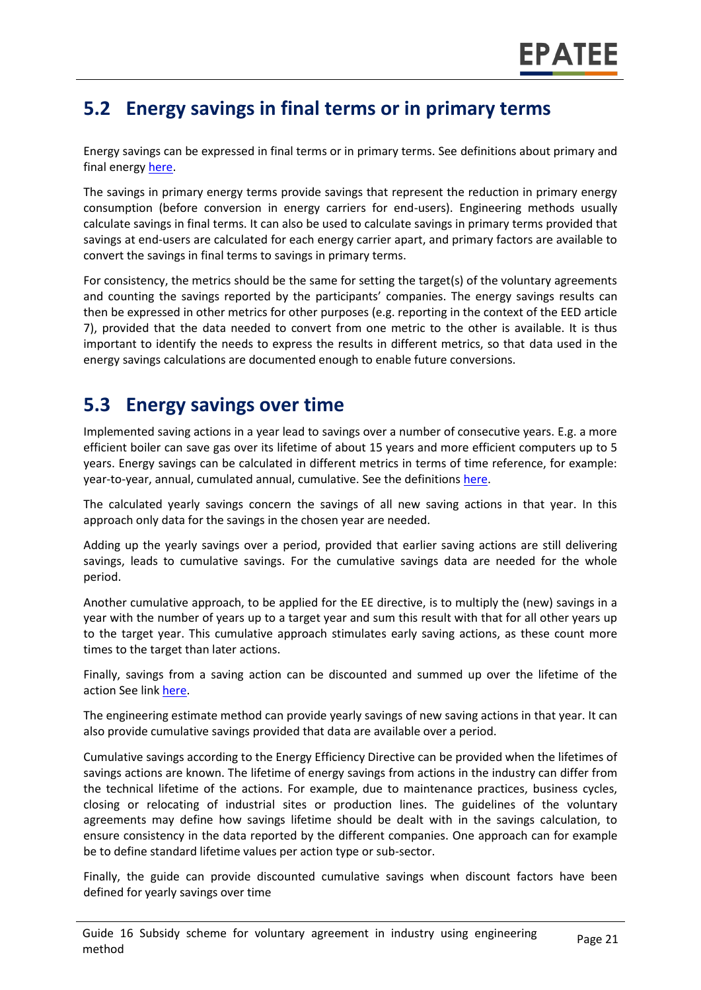### **5.2 Energy savings in final terms or in primary terms**

Energy savings can be expressed in final terms or in primary terms. See definitions about primary and final energy [here.](https://www.epatee-toolbox.eu/wp-content/uploads/2018/10/Definitions-and-typologies-related-to-energy-savings-evaluation.pdf)

The savings in primary energy terms provide savings that represent the reduction in primary energy consumption (before conversion in energy carriers for end-users). Engineering methods usually calculate savings in final terms. It can also be used to calculate savings in primary terms provided that savings at end-users are calculated for each energy carrier apart, and primary factors are available to convert the savings in final terms to savings in primary terms.

For consistency, the metrics should be the same for setting the target(s) of the voluntary agreements and counting the savings reported by the participants' companies. The energy savings results can then be expressed in other metrics for other purposes (e.g. reporting in the context of the EED article 7), provided that the data needed to convert from one metric to the other is available. It is thus important to identify the needs to express the results in different metrics, so that data used in the energy savings calculations are documented enough to enable future conversions.

### **5.3 Energy savings over time**

Implemented saving actions in a year lead to savings over a number of consecutive years. E.g. a more efficient boiler can save gas over its lifetime of about 15 years and more efficient computers up to 5 years. Energy savings can be calculated in different metrics in terms of time reference, for example: year-to-year, annual, cumulated annual, cumulative. See the definition[s here.](https://www.epatee-toolbox.eu/wp-content/uploads/2018/10/Definitions-and-typologies-related-to-energy-savings-evaluation.pdf)

The calculated yearly savings concern the savings of all new saving actions in that year. In this approach only data for the savings in the chosen year are needed.

Adding up the yearly savings over a period, provided that earlier saving actions are still delivering savings, leads to cumulative savings. For the cumulative savings data are needed for the whole period.

Another cumulative approach, to be applied for the EE directive, is to multiply the (new) savings in a year with the number of years up to a target year and sum this result with that for all other years up to the target year. This cumulative approach stimulates early saving actions, as these count more times to the target than later actions.

Finally, savings from a saving action can be discounted and summed up over the lifetime of the action See link [here.](https://www.epatee-toolbox.eu/wp-content/uploads/2018/10/Definitions-and-typologies-related-to-energy-savings-evaluation.pdf)

The engineering estimate method can provide yearly savings of new saving actions in that year. It can also provide cumulative savings provided that data are available over a period.

Cumulative savings according to the Energy Efficiency Directive can be provided when the lifetimes of savings actions are known. The lifetime of energy savings from actions in the industry can differ from the technical lifetime of the actions. For example, due to maintenance practices, business cycles, closing or relocating of industrial sites or production lines. The guidelines of the voluntary agreements may define how savings lifetime should be dealt with in the savings calculation, to ensure consistency in the data reported by the different companies. One approach can for example be to define standard lifetime values per action type or sub-sector.

Finally, the guide can provide discounted cumulative savings when discount factors have been defined for yearly savings over time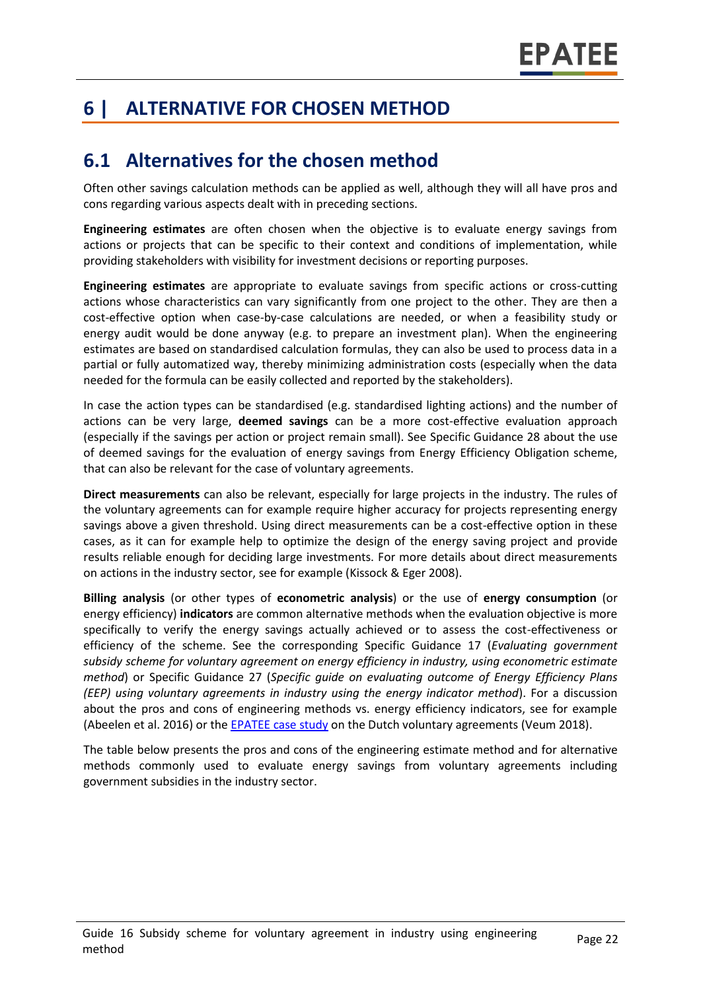# **6 | ALTERNATIVE FOR CHOSEN METHOD**

### **6.1 Alternatives for the chosen method**

Often other savings calculation methods can be applied as well, although they will all have pros and cons regarding various aspects dealt with in preceding sections.

**Engineering estimates** are often chosen when the objective is to evaluate energy savings from actions or projects that can be specific to their context and conditions of implementation, while providing stakeholders with visibility for investment decisions or reporting purposes.

**Engineering estimates** are appropriate to evaluate savings from specific actions or cross-cutting actions whose characteristics can vary significantly from one project to the other. They are then a cost-effective option when case-by-case calculations are needed, or when a feasibility study or energy audit would be done anyway (e.g. to prepare an investment plan). When the engineering estimates are based on standardised calculation formulas, they can also be used to process data in a partial or fully automatized way, thereby minimizing administration costs (especially when the data needed for the formula can be easily collected and reported by the stakeholders).

In case the action types can be standardised (e.g. standardised lighting actions) and the number of actions can be very large, **deemed savings** can be a more cost-effective evaluation approach (especially if the savings per action or project remain small). See Specific Guidance 28 about the use of deemed savings for the evaluation of energy savings from Energy Efficiency Obligation scheme, that can also be relevant for the case of voluntary agreements.

**Direct measurements** can also be relevant, especially for large projects in the industry. The rules of the voluntary agreements can for example require higher accuracy for projects representing energy savings above a given threshold. Using direct measurements can be a cost-effective option in these cases, as it can for example help to optimize the design of the energy saving project and provide results reliable enough for deciding large investments. For more details about direct measurements on actions in the industry sector, see for example (Kissock & Eger 2008).

**Billing analysis** (or other types of **econometric analysis**) or the use of **energy consumption** (or energy efficiency) **indicators** are common alternative methods when the evaluation objective is more specifically to verify the energy savings actually achieved or to assess the cost-effectiveness or efficiency of the scheme. See the corresponding Specific Guidance 17 (*Evaluating government subsidy scheme for voluntary agreement on energy efficiency in industry, using econometric estimate method*) or Specific Guidance 27 (*Specific guide on evaluating outcome of Energy Efficiency Plans (EEP) using voluntary agreements in industry using the energy indicator method*). For a discussion about the pros and cons of engineering methods vs. energy efficiency indicators, see for example (Abeelen et al. 2016) or the [EPATEE case study](https://www.epatee-toolbox.eu/wp-content/uploads/2018/10/epatee_case_study_netherlands_mja3_voluntary_agreements_in_the_non-ets_sectors_ok.pdf) on the Dutch voluntary agreements (Veum 2018).

The table below presents the pros and cons of the engineering estimate method and for alternative methods commonly used to evaluate energy savings from voluntary agreements including government subsidies in the industry sector.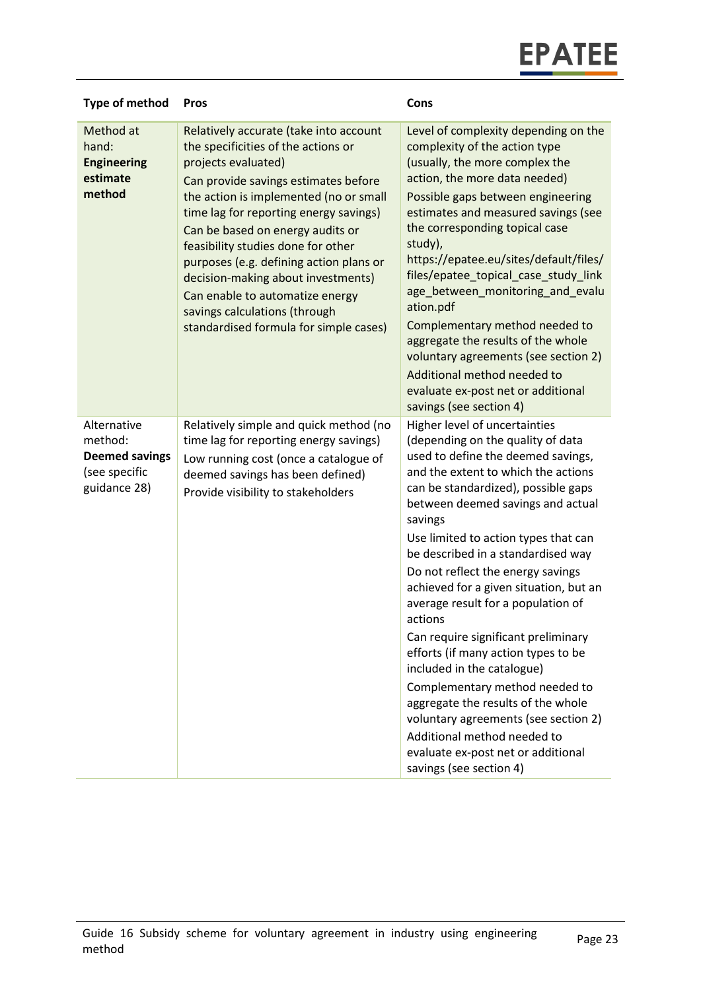| <b>Type of method</b>                                                            | <b>Pros</b>                                                                                                                                                                                                                                                                                                                                                                                                                                                                                               | Cons                                                                                                                                                                                                                                                                                                                                                                                                                                                                                                                                                                                                                                                                                                                                                                             |
|----------------------------------------------------------------------------------|-----------------------------------------------------------------------------------------------------------------------------------------------------------------------------------------------------------------------------------------------------------------------------------------------------------------------------------------------------------------------------------------------------------------------------------------------------------------------------------------------------------|----------------------------------------------------------------------------------------------------------------------------------------------------------------------------------------------------------------------------------------------------------------------------------------------------------------------------------------------------------------------------------------------------------------------------------------------------------------------------------------------------------------------------------------------------------------------------------------------------------------------------------------------------------------------------------------------------------------------------------------------------------------------------------|
| Method at<br>hand:<br><b>Engineering</b><br>estimate<br>method                   | Relatively accurate (take into account<br>the specificities of the actions or<br>projects evaluated)<br>Can provide savings estimates before<br>the action is implemented (no or small<br>time lag for reporting energy savings)<br>Can be based on energy audits or<br>feasibility studies done for other<br>purposes (e.g. defining action plans or<br>decision-making about investments)<br>Can enable to automatize energy<br>savings calculations (through<br>standardised formula for simple cases) | Level of complexity depending on the<br>complexity of the action type<br>(usually, the more complex the<br>action, the more data needed)<br>Possible gaps between engineering<br>estimates and measured savings (see<br>the corresponding topical case<br>study),<br>https://epatee.eu/sites/default/files/<br>files/epatee_topical_case_study_link<br>age_between_monitoring_and_evalu<br>ation.pdf<br>Complementary method needed to<br>aggregate the results of the whole<br>voluntary agreements (see section 2)<br>Additional method needed to<br>evaluate ex-post net or additional<br>savings (see section 4)                                                                                                                                                             |
| Alternative<br>method:<br><b>Deemed savings</b><br>(see specific<br>guidance 28) | Relatively simple and quick method (no<br>time lag for reporting energy savings)<br>Low running cost (once a catalogue of<br>deemed savings has been defined)<br>Provide visibility to stakeholders                                                                                                                                                                                                                                                                                                       | Higher level of uncertainties<br>(depending on the quality of data<br>used to define the deemed savings,<br>and the extent to which the actions<br>can be standardized), possible gaps<br>between deemed savings and actual<br>savings<br>Use limited to action types that can<br>be described in a standardised way<br>Do not reflect the energy savings<br>achieved for a given situation, but an<br>average result for a population of<br>actions<br>Can require significant preliminary<br>efforts (if many action types to be<br>included in the catalogue)<br>Complementary method needed to<br>aggregate the results of the whole<br>voluntary agreements (see section 2)<br>Additional method needed to<br>evaluate ex-post net or additional<br>savings (see section 4) |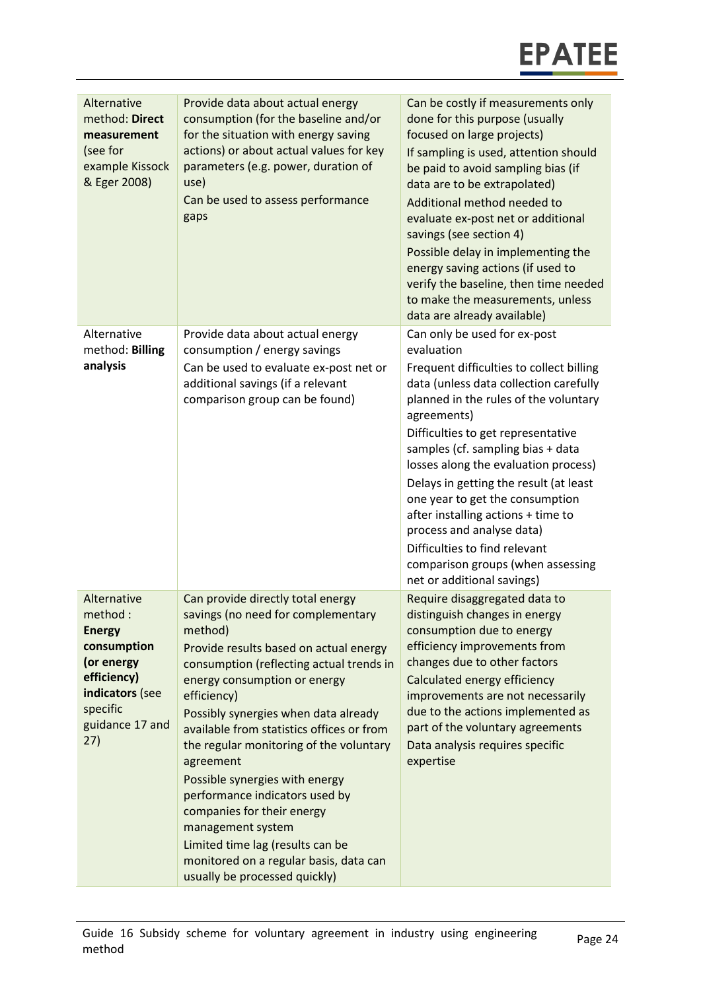| Alternative<br>method: Direct<br>measurement<br>(see for<br>example Kissock<br>& Eger 2008)                                                  | Provide data about actual energy<br>consumption (for the baseline and/or<br>for the situation with energy saving<br>actions) or about actual values for key<br>parameters (e.g. power, duration of<br>use)<br>Can be used to assess performance<br>gaps                                                                                                                                                                                                                                                                                                                                                    | Can be costly if measurements only<br>done for this purpose (usually<br>focused on large projects)<br>If sampling is used, attention should<br>be paid to avoid sampling bias (if<br>data are to be extrapolated)<br>Additional method needed to<br>evaluate ex-post net or additional<br>savings (see section 4)<br>Possible delay in implementing the<br>energy saving actions (if used to<br>verify the baseline, then time needed<br>to make the measurements, unless<br>data are already available)                                                        |
|----------------------------------------------------------------------------------------------------------------------------------------------|------------------------------------------------------------------------------------------------------------------------------------------------------------------------------------------------------------------------------------------------------------------------------------------------------------------------------------------------------------------------------------------------------------------------------------------------------------------------------------------------------------------------------------------------------------------------------------------------------------|-----------------------------------------------------------------------------------------------------------------------------------------------------------------------------------------------------------------------------------------------------------------------------------------------------------------------------------------------------------------------------------------------------------------------------------------------------------------------------------------------------------------------------------------------------------------|
| Alternative<br>method: Billing<br>analysis                                                                                                   | Provide data about actual energy<br>consumption / energy savings<br>Can be used to evaluate ex-post net or<br>additional savings (if a relevant<br>comparison group can be found)                                                                                                                                                                                                                                                                                                                                                                                                                          | Can only be used for ex-post<br>evaluation<br>Frequent difficulties to collect billing<br>data (unless data collection carefully<br>planned in the rules of the voluntary<br>agreements)<br>Difficulties to get representative<br>samples (cf. sampling bias + data<br>losses along the evaluation process)<br>Delays in getting the result (at least<br>one year to get the consumption<br>after installing actions + time to<br>process and analyse data)<br>Difficulties to find relevant<br>comparison groups (when assessing<br>net or additional savings) |
| Alternative<br>method:<br><b>Energy</b><br>consumption<br>(or energy<br>efficiency)<br>indicators (see<br>specific<br>guidance 17 and<br>27) | Can provide directly total energy<br>savings (no need for complementary<br>method)<br>Provide results based on actual energy<br>consumption (reflecting actual trends in<br>energy consumption or energy<br>efficiency)<br>Possibly synergies when data already<br>available from statistics offices or from<br>the regular monitoring of the voluntary<br>agreement<br>Possible synergies with energy<br>performance indicators used by<br>companies for their energy<br>management system<br>Limited time lag (results can be<br>monitored on a regular basis, data can<br>usually be processed quickly) | Require disaggregated data to<br>distinguish changes in energy<br>consumption due to energy<br>efficiency improvements from<br>changes due to other factors<br>Calculated energy efficiency<br>improvements are not necessarily<br>due to the actions implemented as<br>part of the voluntary agreements<br>Data analysis requires specific<br>expertise                                                                                                                                                                                                        |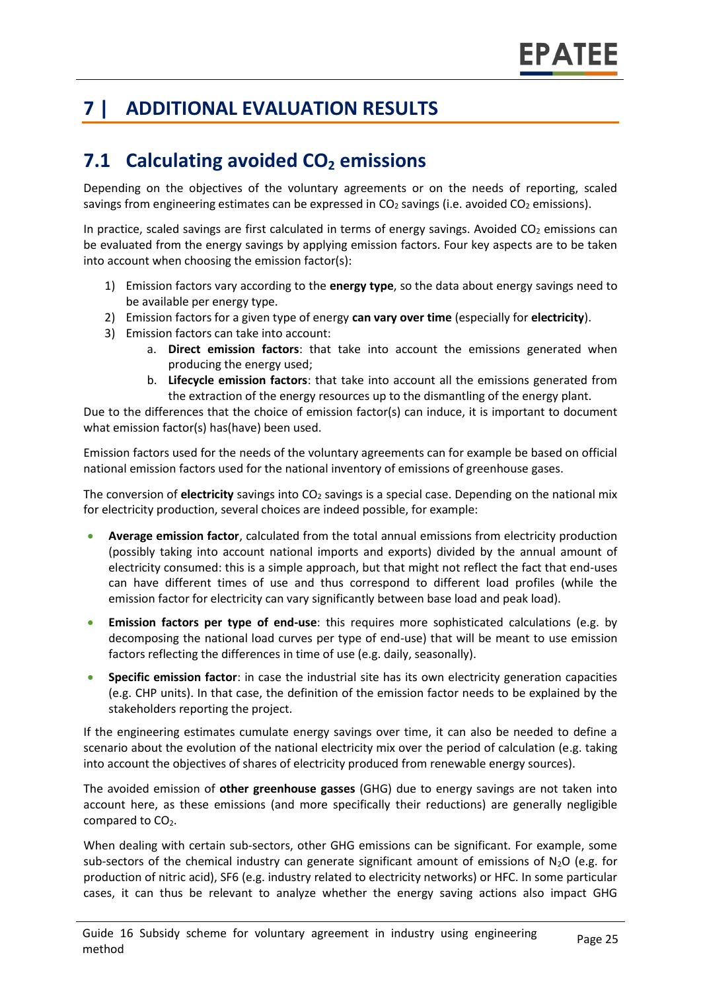# **7 | ADDITIONAL EVALUATION RESULTS**

# **7.1 Calculating avoided CO<sup>2</sup> emissions**

Depending on the objectives of the voluntary agreements or on the needs of reporting, scaled savings from engineering estimates can be expressed in  $CO<sub>2</sub>$  savings (i.e. avoided  $CO<sub>2</sub>$  emissions).

In practice, scaled savings are first calculated in terms of energy savings. Avoided  $CO<sub>2</sub>$  emissions can be evaluated from the energy savings by applying emission factors. Four key aspects are to be taken into account when choosing the emission factor(s):

- 1) Emission factors vary according to the **energy type**, so the data about energy savings need to be available per energy type.
- 2) Emission factors for a given type of energy **can vary over time** (especially for **electricity**).
- 3) Emission factors can take into account:
	- a. **Direct emission factors**: that take into account the emissions generated when producing the energy used;
	- b. **Lifecycle emission factors**: that take into account all the emissions generated from the extraction of the energy resources up to the dismantling of the energy plant.

Due to the differences that the choice of emission factor(s) can induce, it is important to document what emission factor(s) has(have) been used.

Emission factors used for the needs of the voluntary agreements can for example be based on official national emission factors used for the national inventory of emissions of greenhouse gases.

The conversion of **electricity** savings into  $CO<sub>2</sub>$  savings is a special case. Depending on the national mix for electricity production, several choices are indeed possible, for example:

- **Average emission factor**, calculated from the total annual emissions from electricity production (possibly taking into account national imports and exports) divided by the annual amount of electricity consumed: this is a simple approach, but that might not reflect the fact that end-uses can have different times of use and thus correspond to different load profiles (while the emission factor for electricity can vary significantly between base load and peak load).
- **Emission factors per type of end-use**: this requires more sophisticated calculations (e.g. by decomposing the national load curves per type of end-use) that will be meant to use emission factors reflecting the differences in time of use (e.g. daily, seasonally).
- **Specific emission factor**: in case the industrial site has its own electricity generation capacities (e.g. CHP units). In that case, the definition of the emission factor needs to be explained by the stakeholders reporting the project.

If the engineering estimates cumulate energy savings over time, it can also be needed to define a scenario about the evolution of the national electricity mix over the period of calculation (e.g. taking into account the objectives of shares of electricity produced from renewable energy sources).

The avoided emission of **other greenhouse gasses** (GHG) due to energy savings are not taken into account here, as these emissions (and more specifically their reductions) are generally negligible compared to CO<sub>2</sub>.

When dealing with certain sub-sectors, other GHG emissions can be significant. For example, some sub-sectors of the chemical industry can generate significant amount of emissions of N<sub>2</sub>O (e.g. for production of nitric acid), SF6 (e.g. industry related to electricity networks) or HFC. In some particular cases, it can thus be relevant to analyze whether the energy saving actions also impact GHG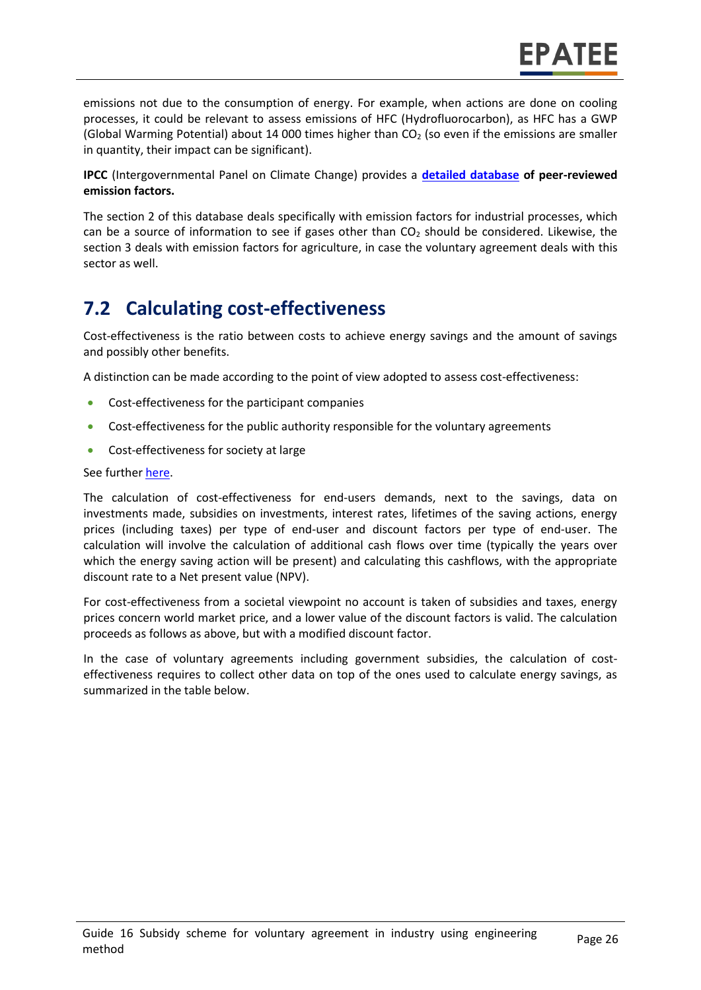emissions not due to the consumption of energy. For example, when actions are done on cooling processes, it could be relevant to assess emissions of HFC (Hydrofluorocarbon), as HFC has a GWP (Global Warming Potential) about 14 000 times higher than  $CO<sub>2</sub>$  (so even if the emissions are smaller in quantity, their impact can be significant).

**IPCC** (Intergovernmental Panel on Climate Change) provides a **[detailed database](https://www.ipcc-nggip.iges.or.jp/EFDB/main.php) of peer-reviewed emission factors.** 

The section 2 of this database deals specifically with emission factors for industrial processes, which can be a source of information to see if gases other than  $CO<sub>2</sub>$  should be considered. Likewise, the section 3 deals with emission factors for agriculture, in case the voluntary agreement deals with this sector as well.

### **7.2 Calculating cost-effectiveness**

Cost-effectiveness is the ratio between costs to achieve energy savings and the amount of savings and possibly other benefits.

A distinction can be made according to the point of view adopted to assess cost-effectiveness:

- Cost-effectiveness for the participant companies
- Cost-effectiveness for the public authority responsible for the voluntary agreements
- Cost-effectiveness for society at large

#### See furthe[r here.](https://epatee.eu/reports)

The calculation of cost-effectiveness for end-users demands, next to the savings, data on investments made, subsidies on investments, interest rates, lifetimes of the saving actions, energy prices (including taxes) per type of end-user and discount factors per type of end-user. The calculation will involve the calculation of additional cash flows over time (typically the years over which the energy saving action will be present) and calculating this cashflows, with the appropriate discount rate to a Net present value (NPV).

For cost-effectiveness from a societal viewpoint no account is taken of subsidies and taxes, energy prices concern world market price, and a lower value of the discount factors is valid. The calculation proceeds as follows as above, but with a modified discount factor.

In the case of voluntary agreements including government subsidies, the calculation of costeffectiveness requires to collect other data on top of the ones used to calculate energy savings, as summarized in the table below.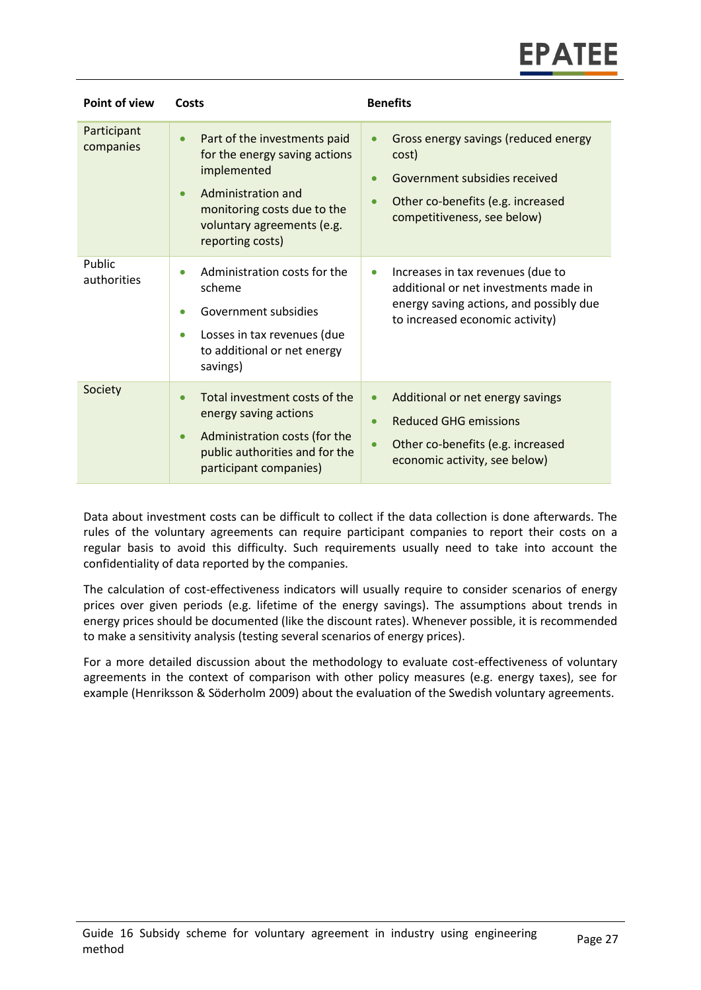| Point of view            | Costs                                                                                                                                                                                                         | <b>Benefits</b>                                                                                                                                                                           |
|--------------------------|---------------------------------------------------------------------------------------------------------------------------------------------------------------------------------------------------------------|-------------------------------------------------------------------------------------------------------------------------------------------------------------------------------------------|
| Participant<br>companies | Part of the investments paid<br>$\bullet$<br>for the energy saving actions<br>implemented<br>Administration and<br>$\bullet$<br>monitoring costs due to the<br>voluntary agreements (e.g.<br>reporting costs) | Gross energy savings (reduced energy<br>$\bullet$<br>cost)<br>Government subsidies received<br>$\bullet$<br>Other co-benefits (e.g. increased<br>$\bullet$<br>competitiveness, see below) |
| Public<br>authorities    | Administration costs for the<br>$\bullet$<br>scheme<br>Government subsidies<br>$\bullet$<br>Losses in tax revenues (due<br>$\bullet$<br>to additional or net energy<br>savings)                               | Increases in tax revenues (due to<br>$\bullet$<br>additional or net investments made in<br>energy saving actions, and possibly due<br>to increased economic activity)                     |
| Society                  | Total investment costs of the<br>$\bullet$<br>energy saving actions<br>Administration costs (for the<br>$\bullet$<br>public authorities and for the<br>participant companies)                                 | Additional or net energy savings<br>$\bullet$<br><b>Reduced GHG emissions</b><br>$\bullet$<br>Other co-benefits (e.g. increased<br>$\bullet$<br>economic activity, see below)             |

Data about investment costs can be difficult to collect if the data collection is done afterwards. The rules of the voluntary agreements can require participant companies to report their costs on a regular basis to avoid this difficulty. Such requirements usually need to take into account the confidentiality of data reported by the companies.

The calculation of cost-effectiveness indicators will usually require to consider scenarios of energy prices over given periods (e.g. lifetime of the energy savings). The assumptions about trends in energy prices should be documented (like the discount rates). Whenever possible, it is recommended to make a sensitivity analysis (testing several scenarios of energy prices).

For a more detailed discussion about the methodology to evaluate cost-effectiveness of voluntary agreements in the context of comparison with other policy measures (e.g. energy taxes), see for example (Henriksson & Söderholm 2009) about the evaluation of the Swedish voluntary agreements.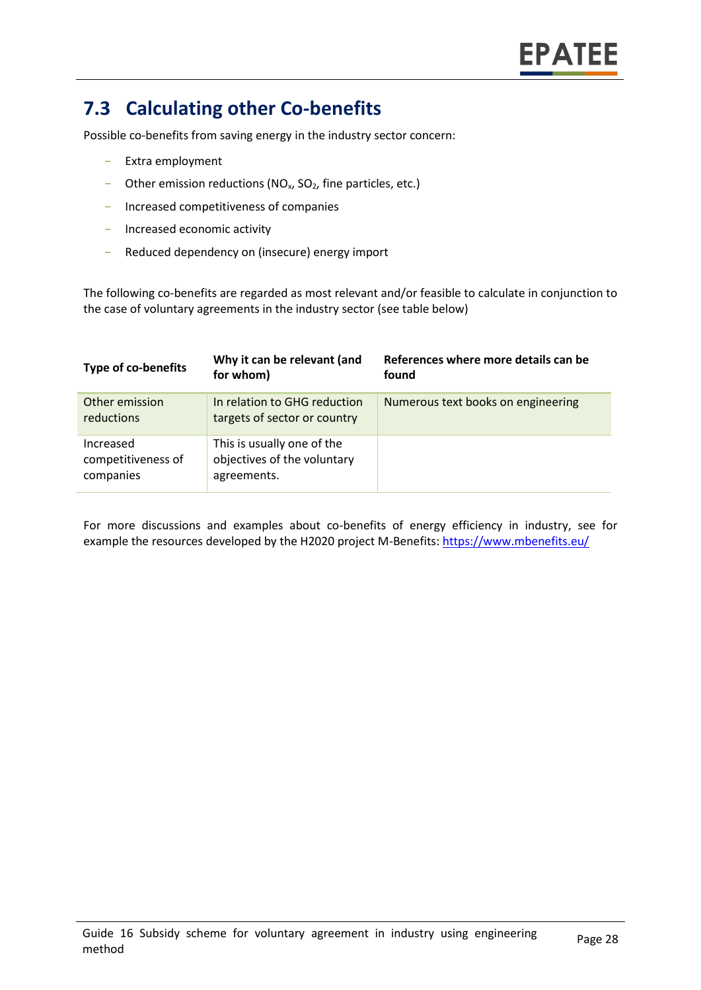### **7.3 Calculating other Co-benefits**

Possible co-benefits from saving energy in the industry sector concern:

- Extra employment
- Other emission reductions ( $NO<sub>x</sub>$ ,  $SO<sub>2</sub>$ , fine particles, etc.)
- Increased competitiveness of companies
- Increased economic activity
- Reduced dependency on (insecure) energy import

The following co-benefits are regarded as most relevant and/or feasible to calculate in conjunction to the case of voluntary agreements in the industry sector (see table below)

| Type of co-benefits                          | Why it can be relevant (and<br>for whom)                                 | References where more details can be<br>found |
|----------------------------------------------|--------------------------------------------------------------------------|-----------------------------------------------|
| Other emission<br>reductions                 | In relation to GHG reduction<br>targets of sector or country             | Numerous text books on engineering            |
| Increased<br>competitiveness of<br>companies | This is usually one of the<br>objectives of the voluntary<br>agreements. |                                               |

For more discussions and examples about co-benefits of energy efficiency in industry, see for example the resources developed by the H2020 project M-Benefits:<https://www.mbenefits.eu/>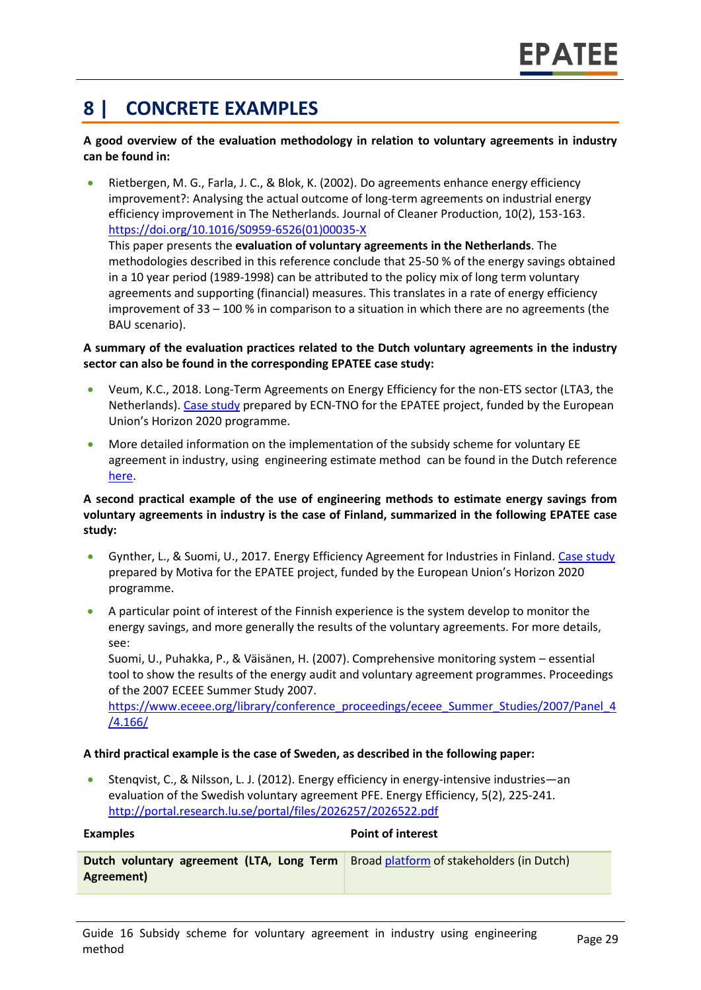### **8 | CONCRETE EXAMPLES**

#### **A good overview of the evaluation methodology in relation to voluntary agreements in industry can be found in:**

• Rietbergen, M. G., Farla, J. C., & Blok, K. (2002). Do agreements enhance energy efficiency improvement?: Analysing the actual outcome of long-term agreements on industrial energy efficiency improvement in The Netherlands. Journal of Cleaner Production, 10(2), 153-163. [https://doi.org/10.1016/S0959-6526\(01\)00035-X](https://doi.org/10.1016/S0959-6526(01)00035-X) This paper presents the **evaluation of voluntary agreements in the Netherlands**. The methodologies described in this reference conclude that 25-50 % of the energy savings obtained in a 10 year period (1989-1998) can be attributed to the policy mix of long term voluntary agreements and supporting (financial) measures. This translates in a rate of energy efficiency improvement of 33 – 100 % in comparison to a situation in which there are no agreements (the BAU scenario).

#### **A summary of the evaluation practices related to the Dutch voluntary agreements in the industry sector can also be found in the corresponding EPATEE case study:**

- Veum, K.C., 2018. Long-Term Agreements on Energy Efficiency for the non-ETS sector (LTA3, the Netherlands). [Case study](https://www.epatee-toolbox.eu/wp-content/uploads/2018/10/epatee_case_study_netherlands_mja3_voluntary_agreements_in_the_non-ets_sectors_ok.pdf) prepared by ECN-TNO for the EPATEE project, funded by the European Union's Horizon 2020 programme.
- More detailed information on the implementation of the subsidy scheme for voluntary EE agreement in industry, using engineering estimate method can be found in the Dutch reference [here.](https://www.rvo.nl/onderwerpen/duurzaam-ondernemen/energie-besparen/mja3-mee)

#### **A second practical example of the use of engineering methods to estimate energy savings from voluntary agreements in industry is the case of Finland, summarized in the following EPATEE case study:**

- Gynther, L., & Suomi, U., 2017. Energy Efficiency Agreement for Industries in Finland. [Case study](https://www.epatee-toolbox.eu/wp-content/uploads/2018/10/epatee_case_study_finland_energy_efficiency_agreement_for_industries_ok.pdf) prepared by Motiva for the EPATEE project, funded by the European Union's Horizon 2020 programme.
- A particular point of interest of the Finnish experience is the system develop to monitor the energy savings, and more generally the results of the voluntary agreements. For more details, see:

Suomi, U., Puhakka, P., & Väisänen, H. (2007). Comprehensive monitoring system – essential tool to show the results of the energy audit and voluntary agreement programmes. Proceedings of the 2007 ECEEE Summer Study 2007.

[https://www.eceee.org/library/conference\\_proceedings/eceee\\_Summer\\_Studies/2007/Panel\\_4](https://www.eceee.org/library/conference_proceedings/eceee_Summer_Studies/2007/Panel_4/4.166/) [/4.166/](https://www.eceee.org/library/conference_proceedings/eceee_Summer_Studies/2007/Panel_4/4.166/)

#### **A third practical example is the case of Sweden, as described in the following paper:**

• Stenqvist, C., & Nilsson, L. J. (2012). Energy efficiency in energy-intensive industries—an evaluation of the Swedish voluntary agreement PFE. Energy Efficiency, 5(2), 225-241. <http://portal.research.lu.se/portal/files/2026257/2026522.pdf>

#### **Examples Point of interest Dutch voluntary agreement (LTA, Long Term Agreement)** Broad [platform](https://www.rijksoverheid.nl/documenten/rapporten/2013/04/10/evaluatie-meerjarenafspraak-energie-efficientie-2008-2020-mja3) of stakeholders (in Dutch)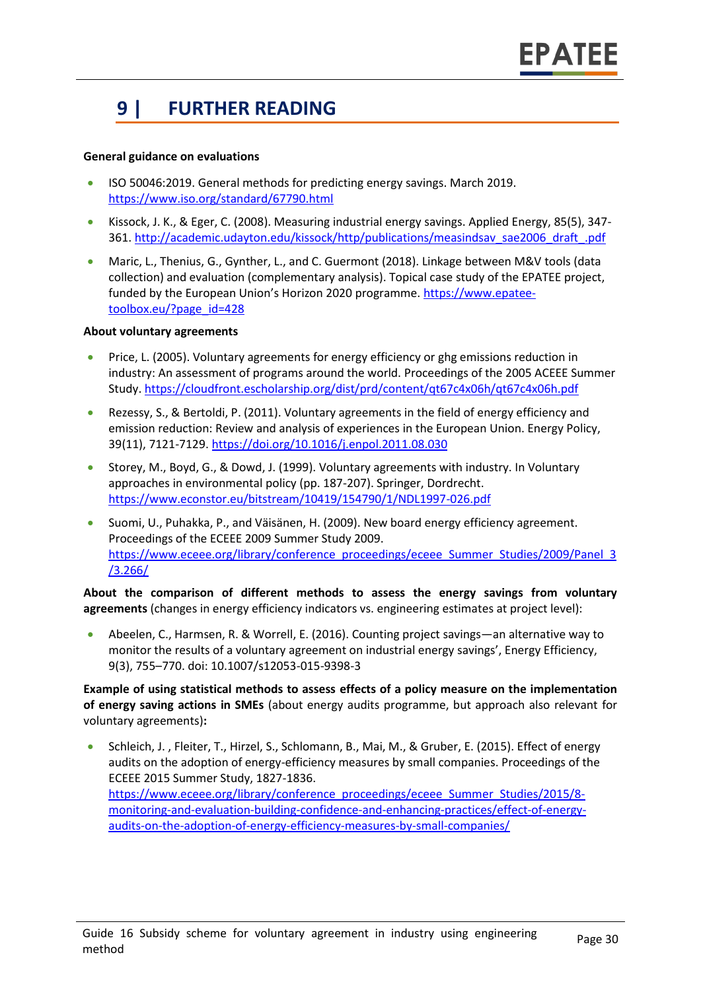# **9 | FURTHER READING**

#### **General guidance on evaluations**

- ISO 50046:2019. General methods for predicting energy savings. March 2019. <https://www.iso.org/standard/67790.html>
- Kissock, J. K., & Eger, C. (2008). Measuring industrial energy savings. Applied Energy, 85(5), 347- 361. [http://academic.udayton.edu/kissock/http/publications/measindsav\\_sae2006\\_draft\\_.pdf](http://academic.udayton.edu/kissock/http/publications/measindsav_sae2006_draft_.pdf)
- Maric, L., Thenius, G., Gynther, L., and C. Guermont (2018). Linkage between M&V tools (data collection) and evaluation (complementary analysis). Topical case study of the EPATEE project, funded by the European Union's Horizon 2020 programme. [https://www.epatee](https://www.epatee-toolbox.eu/?page_id=428)[toolbox.eu/?page\\_id=428](https://www.epatee-toolbox.eu/?page_id=428)

#### **About voluntary agreements**

- Price, L. (2005). Voluntary agreements for energy efficiency or ghg emissions reduction in industry: An assessment of programs around the world. Proceedings of the 2005 ACEEE Summer Study[. https://cloudfront.escholarship.org/dist/prd/content/qt67c4x06h/qt67c4x06h.pdf](https://cloudfront.escholarship.org/dist/prd/content/qt67c4x06h/qt67c4x06h.pdf)
- Rezessy, S., & Bertoldi, P. (2011). Voluntary agreements in the field of energy efficiency and emission reduction: Review and analysis of experiences in the European Union. Energy Policy, 39(11), 7121-7129. <https://doi.org/10.1016/j.enpol.2011.08.030>
- Storey, M., Boyd, G., & Dowd, J. (1999). Voluntary agreements with industry. In Voluntary approaches in environmental policy (pp. 187-207). Springer, Dordrecht. <https://www.econstor.eu/bitstream/10419/154790/1/NDL1997-026.pdf>
- Suomi, U., Puhakka, P., and Väisänen, H. (2009). New board energy efficiency agreement. Proceedings of the ECEEE 2009 Summer Study 2009. [https://www.eceee.org/library/conference\\_proceedings/eceee\\_Summer\\_Studies/2009/Panel\\_3](https://www.eceee.org/library/conference_proceedings/eceee_Summer_Studies/2009/Panel_3/3.266/) [/3.266/](https://www.eceee.org/library/conference_proceedings/eceee_Summer_Studies/2009/Panel_3/3.266/)

**About the comparison of different methods to assess the energy savings from voluntary agreements** (changes in energy efficiency indicators vs. engineering estimates at project level):

• Abeelen, C., Harmsen, R. & Worrell, E. (2016). Counting project savings—an alternative way to monitor the results of a voluntary agreement on industrial energy savings', Energy Efficiency, 9(3), 755–770. doi: 10.1007/s12053-015-9398-3

**Example of using statistical methods to assess effects of a policy measure on the implementation of energy saving actions in SMEs** (about energy audits programme, but approach also relevant for voluntary agreements)**:**

• Schleich, J. , Fleiter, T., Hirzel, S., Schlomann, B., Mai, M., & Gruber, E. (2015). Effect of energy audits on the adoption of energy-efficiency measures by small companies. Proceedings of the ECEEE 2015 Summer Study, 1827-1836. [https://www.eceee.org/library/conference\\_proceedings/eceee\\_Summer\\_Studies/2015/8](https://www.eceee.org/library/conference_proceedings/eceee_Summer_Studies/2015/8-monitoring-and-evaluation-building-confidence-and-enhancing-practices/effect-of-energy-audits-on-the-adoption-of-energy-efficiency-measures-by-small-companies/) [monitoring-and-evaluation-building-confidence-and-enhancing-practices/effect-of-energy](https://www.eceee.org/library/conference_proceedings/eceee_Summer_Studies/2015/8-monitoring-and-evaluation-building-confidence-and-enhancing-practices/effect-of-energy-audits-on-the-adoption-of-energy-efficiency-measures-by-small-companies/)[audits-on-the-adoption-of-energy-efficiency-measures-by-small-companies/](https://www.eceee.org/library/conference_proceedings/eceee_Summer_Studies/2015/8-monitoring-and-evaluation-building-confidence-and-enhancing-practices/effect-of-energy-audits-on-the-adoption-of-energy-efficiency-measures-by-small-companies/)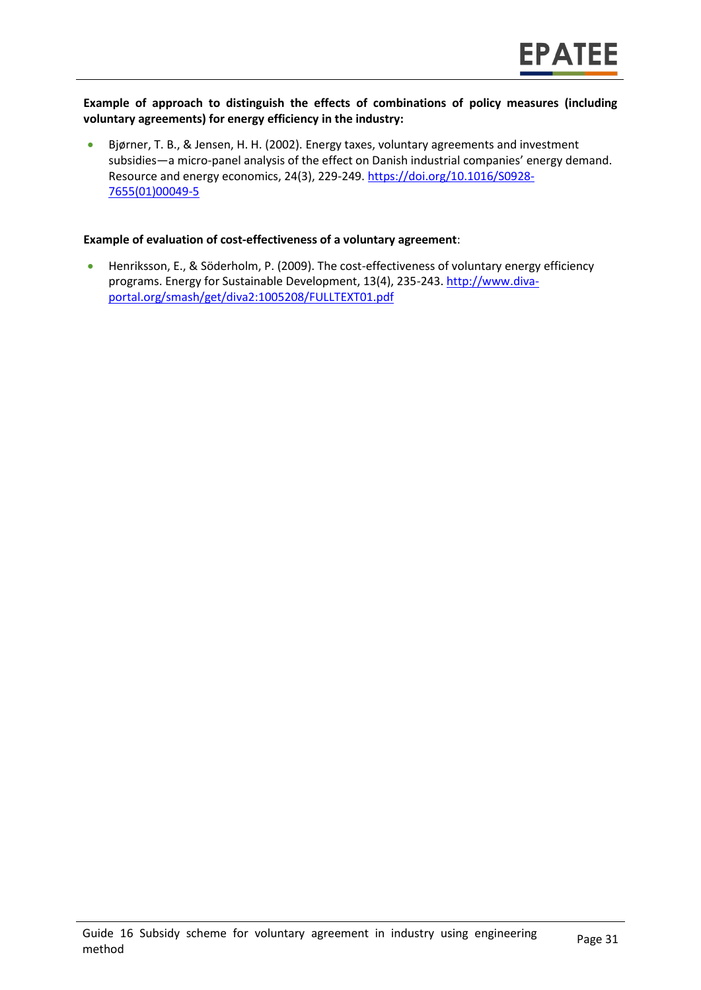#### **Example of approach to distinguish the effects of combinations of policy measures (including voluntary agreements) for energy efficiency in the industry:**

• Bjørner, T. B., & Jensen, H. H. (2002). Energy taxes, voluntary agreements and investment subsidies—a micro-panel analysis of the effect on Danish industrial companies' energy demand. Resource and energy economics, 24(3), 229-249. [https://doi.org/10.1016/S0928-](https://doi.org/10.1016/S0928-7655(01)00049-5) [7655\(01\)00049-5](https://doi.org/10.1016/S0928-7655(01)00049-5)

#### **Example of evaluation of cost-effectiveness of a voluntary agreement**:

• Henriksson, E., & Söderholm, P. (2009). The cost-effectiveness of voluntary energy efficiency programs. Energy for Sustainable Development, 13(4), 235-243. [http://www.diva](http://www.diva-portal.org/smash/get/diva2:1005208/FULLTEXT01.pdf)[portal.org/smash/get/diva2:1005208/FULLTEXT01.pdf](http://www.diva-portal.org/smash/get/diva2:1005208/FULLTEXT01.pdf)